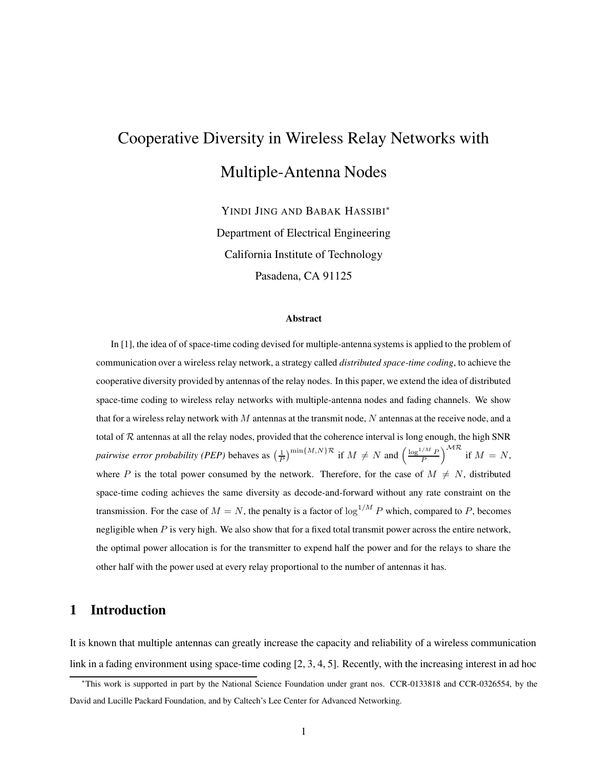# Cooperative Diversity in Wireless Relay Networks with Multiple-Antenna Nodes

YINDI JING AND BABAK HASSIBI<sup>\*</sup> Department of Electrical Engineering California Institute of Technology Pasadena, CA 91125

#### **Abstract**

In [1], the idea of of space-time coding devised for multiple-antenna systems is applied to the problem of communication over a wireless relay network, a strategy called *distributed space-time coding*, to achieve the cooperative diversity provided by antennas of the relay nodes. In this paper, we extend the idea of distributed space-time coding to wireless relay networks with multiple-antenna nodes and fading channels. We show that for a wireless relay network with  $M$  antennas at the transmit node,  $N$  antennas at the receive node, and a total of  $R$  antennas at all the relay nodes, provided that the coherence interval is long enough, the high SNR *pairwise error probability (PEP)* behaves as  $\left(\frac{1}{P}\right)^{\min\{M,N\}\mathcal{R}}$  if  $M \neq N$  and  $\left(\frac{\log^{1/M} P}{P}\right)^{\mathcal{MR}}$  if  $M = N$ , where P is the total power consumed by the network. Therefore, for the case of  $M \neq N$ , distributed space-time coding achieves the same diversity as decode-and-forward without any rate constraint on the transmission. For the case of  $M = N$ , the penalty is a factor of  $\log^{1/M} P$  which, compared to P, becomes negligible when P is very high. We also show that for a fixed total transmit power across the entire network, the optimal power allocation is for the transmitter to expend half the power and for the relays to share the other half with the power used at every relay proportional to the number of antennas it has.

# **1 Introduction**

It is known that multiple antennas can greatly increase the capacity and reliability of a wireless communication link in a fading environment using space-time coding [2, 3, 4, 5]. Recently, with the increasing interest in ad hoc

<sup>∗</sup>This work is supported in part by the National Science Foundation under grant nos. CCR-0133818 and CCR-0326554, by the David and Lucille Packard Foundation, and by Caltech's Lee Center for Advanced Networking.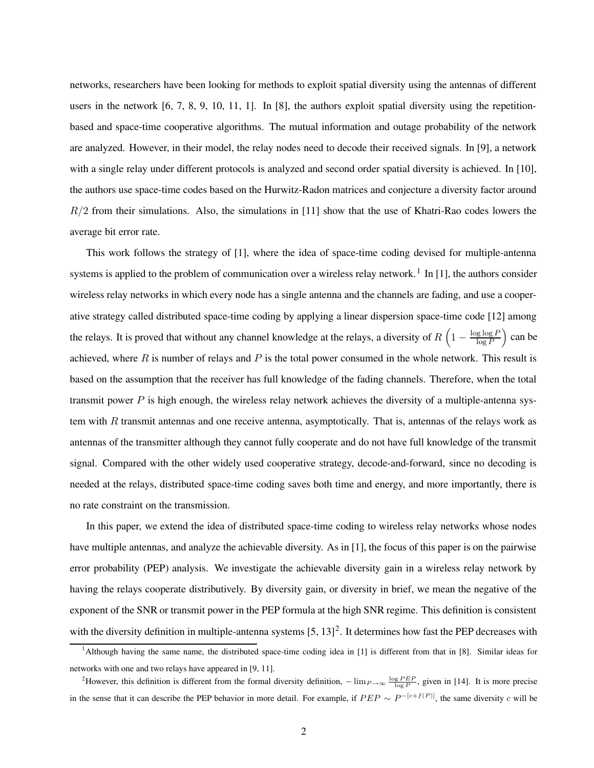networks, researchers have been looking for methods to exploit spatial diversity using the antennas of different users in the network [6, 7, 8, 9, 10, 11, 1]. In [8], the authors exploit spatial diversity using the repetitionbased and space-time cooperative algorithms. The mutual information and outage probability of the network are analyzed. However, in their model, the relay nodes need to decode their received signals. In [9], a network with a single relay under different protocols is analyzed and second order spatial diversity is achieved. In [10], the authors use space-time codes based on the Hurwitz-Radon matrices and conjecture a diversity factor around  $R/2$  from their simulations. Also, the simulations in [11] show that the use of Khatri-Rao codes lowers the average bit error rate.

This work follows the strategy of [1], where the idea of space-time coding devised for multiple-antenna systems is applied to the problem of communication over a wireless relay network.<sup>1</sup> In [1], the authors consider wireless relay networks in which every node has a single antenna and the channels are fading, and use a cooperative strategy called distributed space-time coding by applying a linear dispersion space-time code [12] among the relays. It is proved that without any channel knowledge at the relays, a diversity of  $R\left(1-\frac{\log\log P}{\log P}\right)$  $\log P$  can be achieved, where R is number of relays and P is the total power consumed in the whole network. This result is based on the assumption that the receiver has full knowledge of the fading channels. Therefore, when the total transmit power  $P$  is high enough, the wireless relay network achieves the diversity of a multiple-antenna system with  $R$  transmit antennas and one receive antenna, asymptotically. That is, antennas of the relays work as antennas of the transmitter although they cannot fully cooperate and do not have full knowledge of the transmit signal. Compared with the other widely used cooperative strategy, decode-and-forward, since no decoding is needed at the relays, distributed space-time coding saves both time and energy, and more importantly, there is no rate constraint on the transmission.

In this paper, we extend the idea of distributed space-time coding to wireless relay networks whose nodes have multiple antennas, and analyze the achievable diversity. As in [1], the focus of this paper is on the pairwise error probability (PEP) analysis. We investigate the achievable diversity gain in a wireless relay network by having the relays cooperate distributively. By diversity gain, or diversity in brief, we mean the negative of the exponent of the SNR or transmit power in the PEP formula at the high SNR regime. This definition is consistent with the diversity definition in multiple-antenna systems  $[5, 13]^2$ . It determines how fast the PEP decreases with

<sup>2</sup>However, this definition is different from the formal diversity definition,  $-\lim_{P\to\infty} \frac{\log PEP}{\log P}$ , given in [14]. It is more precise in the sense that it can describe the PEP behavior in more detail. For example, if  $PEP \sim P^{-[c+f(P)]}$ , the same diversity c will be

<sup>1</sup>Although having the same name, the distributed space-time coding idea in [1] is different from that in [8]. Similar ideas for networks with one and two relays have appeared in [9, 11].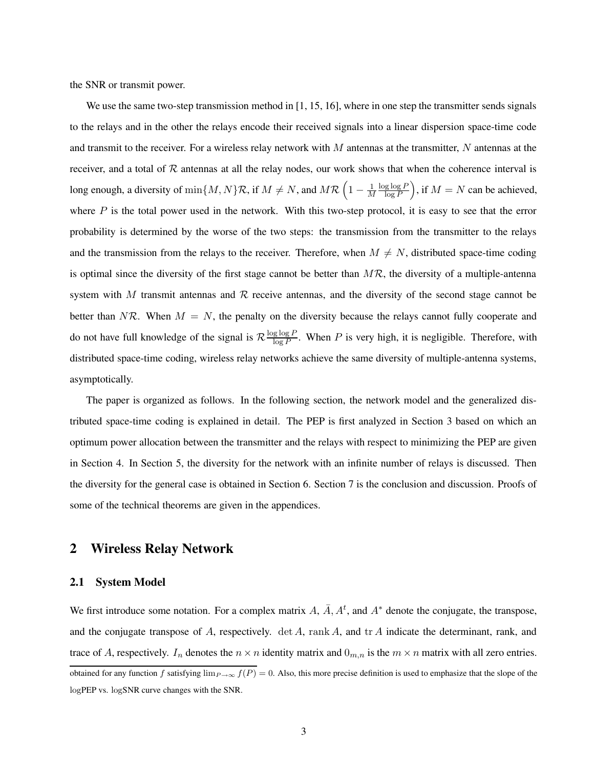the SNR or transmit power.

We use the same two-step transmission method in [1, 15, 16], where in one step the transmitter sends signals to the relays and in the other the relays encode their received signals into a linear dispersion space-time code and transmit to the receiver. For a wireless relay network with  $M$  antennas at the transmitter,  $N$  antennas at the receiver, and a total of  $R$  antennas at all the relay nodes, our work shows that when the coherence interval is long enough, a diversity of  $\min\{M, N\}$ R, if  $M \neq N$ , and  $M$ R $(1 - \frac{1}{M})$ M log log P  $\log P$ ), if  $M = N$  can be achieved, where  $P$  is the total power used in the network. With this two-step protocol, it is easy to see that the error probability is determined by the worse of the two steps: the transmission from the transmitter to the relays and the transmission from the relays to the receiver. Therefore, when  $M \neq N$ , distributed space-time coding is optimal since the diversity of the first stage cannot be better than  $MR$ , the diversity of a multiple-antenna system with M transmit antennas and  $R$  receive antennas, and the diversity of the second stage cannot be better than NR. When  $M = N$ , the penalty on the diversity because the relays cannot fully cooperate and do not have full knowledge of the signal is  $\mathcal{R} \frac{\log \log P}{\log P}$  $\frac{\text{g}\log P}{\log P}$ . When P is very high, it is negligible. Therefore, with distributed space-time coding, wireless relay networks achieve the same diversity of multiple-antenna systems, asymptotically.

The paper is organized as follows. In the following section, the network model and the generalized distributed space-time coding is explained in detail. The PEP is first analyzed in Section 3 based on which an optimum power allocation between the transmitter and the relays with respect to minimizing the PEP are given in Section 4. In Section 5, the diversity for the network with an infinite number of relays is discussed. Then the diversity for the general case is obtained in Section 6. Section 7 is the conclusion and discussion. Proofs of some of the technical theorems are given in the appendices.

## **2 Wireless Relay Network**

## **2.1 System Model**

We first introduce some notation. For a complex matrix A,  $\bar{A}$ ,  $A<sup>t</sup>$ , and  $A<sup>*</sup>$  denote the conjugate, the transpose, and the conjugate transpose of A, respectively. det A, rank A, and  $tr A$  indicate the determinant, rank, and trace of A, respectively.  $I_n$  denotes the  $n \times n$  identity matrix and  $0_{m,n}$  is the  $m \times n$  matrix with all zero entries. obtained for any function f satisfying  $\lim_{P\to\infty} f(P) = 0$ . Also, this more precise definition is used to emphasize that the slope of the logPEP vs. logSNR curve changes with the SNR.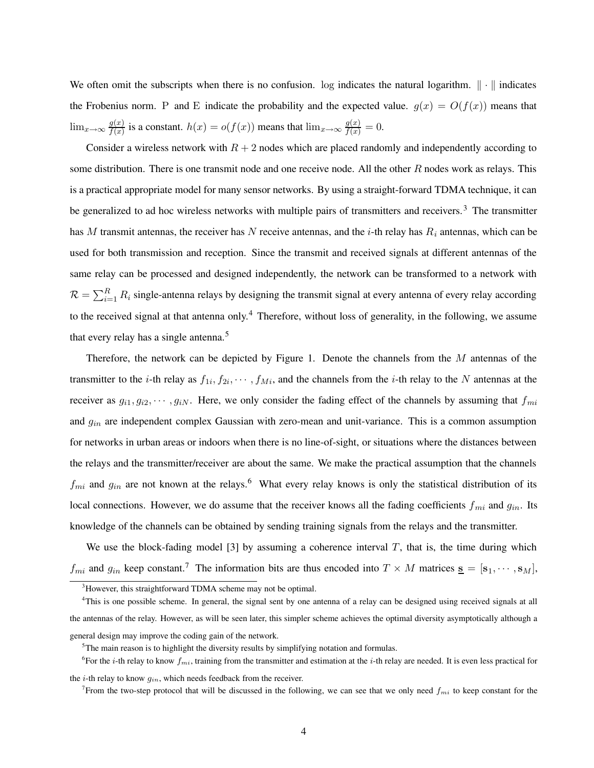We often omit the subscripts when there is no confusion. log indicates the natural logarithm.  $\|\cdot\|$  indicates the Frobenius norm. P and E indicate the probability and the expected value.  $g(x) = O(f(x))$  means that  $\lim_{x\to\infty}\frac{g(x)}{f(x)}$  $\frac{g(x)}{f(x)}$  is a constant.  $h(x) = o(f(x))$  means that  $\lim_{x \to \infty} \frac{g(x)}{f(x)} = 0$ .

Consider a wireless network with  $R + 2$  nodes which are placed randomly and independently according to some distribution. There is one transmit node and one receive node. All the other  $R$  nodes work as relays. This is a practical appropriate model for many sensor networks. By using a straight-forward TDMA technique, it can be generalized to ad hoc wireless networks with multiple pairs of transmitters and receivers.<sup>3</sup> The transmitter has M transmit antennas, the receiver has N receive antennas, and the *i*-th relay has  $R_i$  antennas, which can be used for both transmission and reception. Since the transmit and received signals at different antennas of the same relay can be processed and designed independently, the network can be transformed to a network with  $\mathcal{R} = \sum_{i=1}^R R_i$  single-antenna relays by designing the transmit signal at every antenna of every relay according to the received signal at that antenna only.<sup>4</sup> Therefore, without loss of generality, in the following, we assume that every relay has a single antenna.<sup>5</sup>

Therefore, the network can be depicted by Figure 1. Denote the channels from the  $M$  antennas of the transmitter to the *i*-th relay as  $f_{1i}, f_{2i}, \cdots, f_{Mi}$ , and the channels from the *i*-th relay to the N antennas at the receiver as  $g_{i1}, g_{i2}, \cdots, g_{iN}$ . Here, we only consider the fading effect of the channels by assuming that  $f_{mi}$ and  $g_{in}$  are independent complex Gaussian with zero-mean and unit-variance. This is a common assumption for networks in urban areas or indoors when there is no line-of-sight, or situations where the distances between the relays and the transmitter/receiver are about the same. We make the practical assumption that the channels  $f_{mi}$  and  $g_{in}$  are not known at the relays.<sup>6</sup> What every relay knows is only the statistical distribution of its local connections. However, we do assume that the receiver knows all the fading coefficients  $f_{mi}$  and  $g_{in}$ . Its knowledge of the channels can be obtained by sending training signals from the relays and the transmitter.

We use the block-fading model  $[3]$  by assuming a coherence interval T, that is, the time during which  $f_{mi}$  and  $g_{in}$  keep constant.<sup>7</sup> The information bits are thus encoded into  $T \times M$  matrices  $\underline{\mathbf{s}} = [\mathbf{s}_1, \cdots, \mathbf{s}_M]$ ,

 $3H$ owever, this straightforward TDMA scheme may not be optimal.

<sup>4</sup>This is one possible scheme. In general, the signal sent by one antenna of a relay can be designed using received signals at all the antennas of the relay. However, as will be seen later, this simpler scheme achieves the optimal diversity asymptotically although a general design may improve the coding gain of the network.

 ${}^{5}$ The main reason is to highlight the diversity results by simplifying notation and formulas.

<sup>&</sup>lt;sup>6</sup>For the *i*-th relay to know  $f_{mi}$ , training from the transmitter and estimation at the *i*-th relay are needed. It is even less practical for the *i*-th relay to know  $q_{in}$ , which needs feedback from the receiver.

<sup>&</sup>lt;sup>7</sup> From the two-step protocol that will be discussed in the following, we can see that we only need  $f_{mi}$  to keep constant for the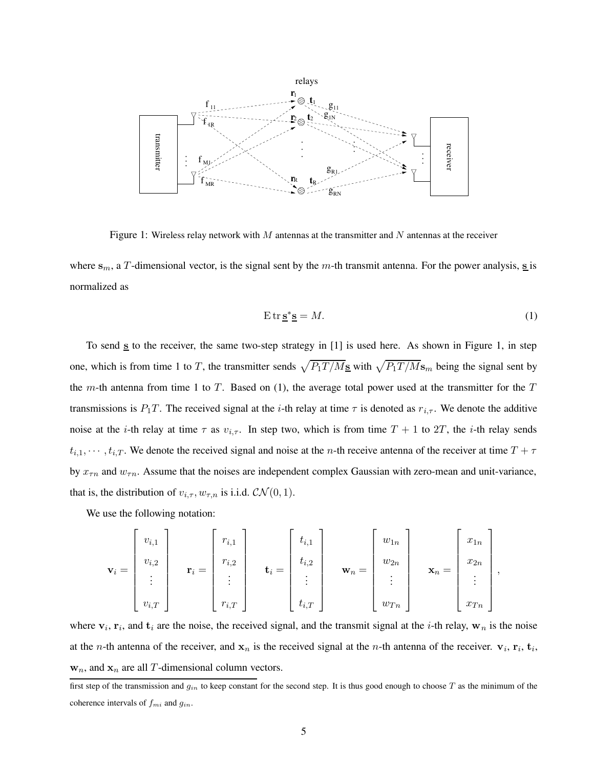

Figure 1: Wireless relay network with  $M$  antennas at the transmitter and  $N$  antennas at the receiver

where  $s_m$ , a T-dimensional vector, is the signal sent by the m-th transmit antenna. For the power analysis,  $\leq$  is normalized as

$$
E \operatorname{tr} \underline{\mathbf{s}}^* \underline{\mathbf{s}} = M. \tag{1}
$$

To send  $\underline{s}$  to the receiver, the same two-step strategy in [1] is used here. As shown in Figure 1, in step one, which is from time 1 to T, the transmitter sends  $\sqrt{P_1T/M}$  with  $\sqrt{P_1T/M}$  s<sub>m</sub> being the signal sent by the m-th antenna from time 1 to T. Based on (1), the average total power used at the transmitter for the  $T$ transmissions is  $P_1T$ . The received signal at the *i*-th relay at time  $\tau$  is denoted as  $r_{i,\tau}$ . We denote the additive noise at the *i*-th relay at time  $\tau$  as  $v_{i,\tau}$ . In step two, which is from time  $T + 1$  to  $2T$ , the *i*-th relay sends  $t_{i,1}, \dots, t_{i,T}$ . We denote the received signal and noise at the *n*-th receive antenna of the receiver at time  $T + \tau$ by  $x_{\tau n}$  and  $w_{\tau n}$ . Assume that the noises are independent complex Gaussian with zero-mean and unit-variance, that is, the distribution of  $v_{i,\tau}$ ,  $w_{\tau,n}$  is i.i.d.  $\mathcal{CN}(0, 1)$ .

We use the following notation:

$$
\mathbf{v}_{i} = \begin{bmatrix} v_{i,1} \\ v_{i,2} \\ \vdots \\ v_{i,T} \end{bmatrix} \qquad \mathbf{r}_{i} = \begin{bmatrix} r_{i,1} \\ r_{i,2} \\ \vdots \\ r_{i,T} \end{bmatrix} \qquad \mathbf{t}_{i} = \begin{bmatrix} t_{i,1} \\ t_{i,2} \\ \vdots \\ t_{i,T} \end{bmatrix} \qquad \mathbf{w}_{n} = \begin{bmatrix} w_{1n} \\ w_{2n} \\ \vdots \\ w_{Tn} \end{bmatrix} \qquad \mathbf{x}_{n} = \begin{bmatrix} x_{1n} \\ x_{2n} \\ \vdots \\ x_{Tn} \end{bmatrix},
$$

where  $v_i$ ,  $r_i$ , and  $t_i$  are the noise, the received signal, and the transmit signal at the *i*-th relay,  $w_n$  is the noise at the *n*-th antenna of the receiver, and  $x_n$  is the received signal at the *n*-th antenna of the receiver.  $v_i$ ,  $r_i$ ,  $t_i$ ,  $w_n$ , and  $x_n$  are all T-dimensional column vectors.

first step of the transmission and  $g_{in}$  to keep constant for the second step. It is thus good enough to choose T as the minimum of the coherence intervals of  $f_{mi}$  and  $g_{in}$ .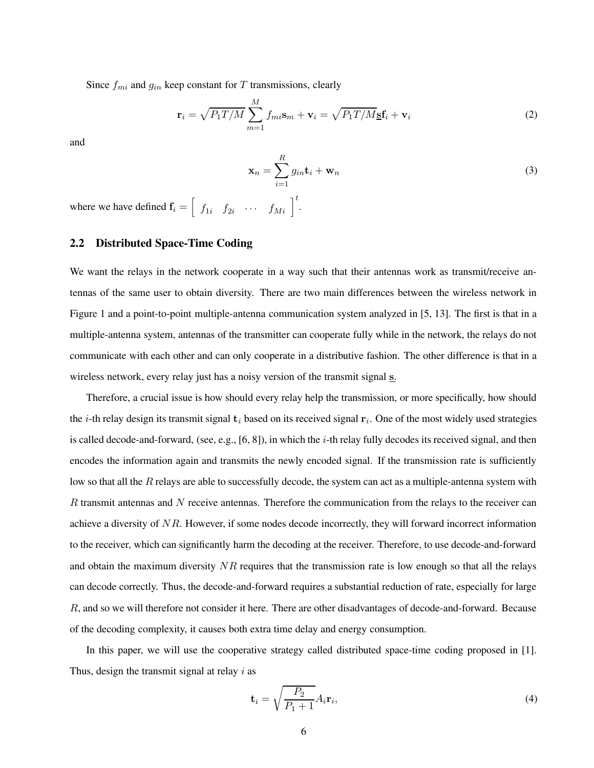Since  $f_{mi}$  and  $g_{in}$  keep constant for T transmissions, clearly

$$
\mathbf{r}_{i} = \sqrt{P_{1}T/M} \sum_{m=1}^{M} f_{mi} \mathbf{s}_{m} + \mathbf{v}_{i} = \sqrt{P_{1}T/M} \mathbf{\underline{s}} \mathbf{f}_{i} + \mathbf{v}_{i}
$$
(2)

and

$$
\mathbf{x}_n = \sum_{i=1}^R g_{in} \mathbf{t}_i + \mathbf{w}_n
$$
 (3)

where we have defined  $\mathbf{f}_i = \begin{bmatrix} f_{1i} & f_{2i} & \cdots & f_{Mi} \end{bmatrix}^t$ .

## **2.2 Distributed Space-Time Coding**

We want the relays in the network cooperate in a way such that their antennas work as transmit/receive antennas of the same user to obtain diversity. There are two main differences between the wireless network in Figure 1 and a point-to-point multiple-antenna communication system analyzed in [5, 13]. The first is that in a multiple-antenna system, antennas of the transmitter can cooperate fully while in the network, the relays do not communicate with each other and can only cooperate in a distributive fashion. The other difference is that in a wireless network, every relay just has a noisy version of the transmit signal s.

Therefore, a crucial issue is how should every relay help the transmission, or more specifically, how should the *i*-th relay design its transmit signal  $t_i$  based on its received signal  $r_i$ . One of the most widely used strategies is called decode-and-forward, (see, e.g.,  $[6, 8]$ ), in which the *i*-th relay fully decodes its received signal, and then encodes the information again and transmits the newly encoded signal. If the transmission rate is sufficiently low so that all the R relays are able to successfully decode, the system can act as a multiple-antenna system with R transmit antennas and N receive antennas. Therefore the communication from the relays to the receiver can achieve a diversity of  $NR$ . However, if some nodes decode incorrectly, they will forward incorrect information to the receiver, which can significantly harm the decoding at the receiver. Therefore, to use decode-and-forward and obtain the maximum diversity  $NR$  requires that the transmission rate is low enough so that all the relays can decode correctly. Thus, the decode-and-forward requires a substantial reduction of rate, especially for large R, and so we will therefore not consider it here. There are other disadvantages of decode-and-forward. Because of the decoding complexity, it causes both extra time delay and energy consumption.

In this paper, we will use the cooperative strategy called distributed space-time coding proposed in [1]. Thus, design the transmit signal at relay  $i$  as

$$
\mathbf{t}_i = \sqrt{\frac{P_2}{P_1 + 1}} A_i \mathbf{r}_i,\tag{4}
$$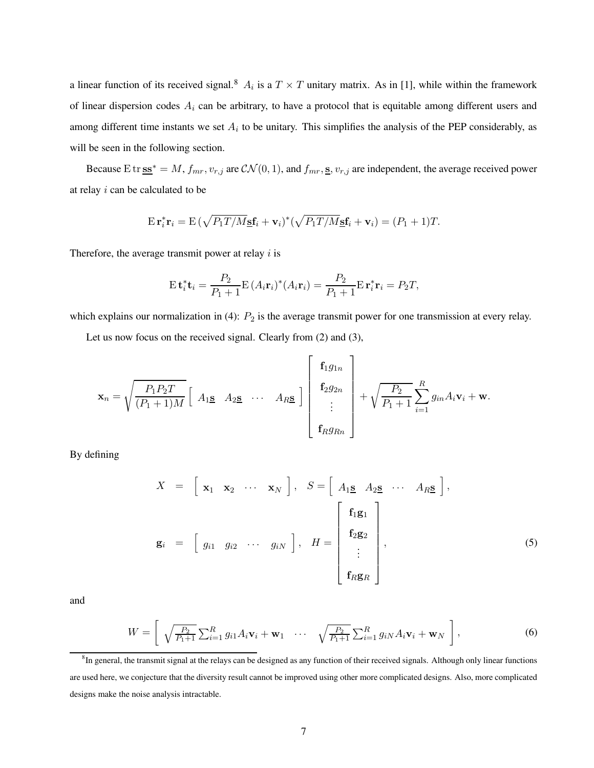a linear function of its received signal.<sup>8</sup>  $A_i$  is a  $T \times T$  unitary matrix. As in [1], while within the framework of linear dispersion codes  $A_i$  can be arbitrary, to have a protocol that is equitable among different users and among different time instants we set  $A_i$  to be unitary. This simplifies the analysis of the PEP considerably, as will be seen in the following section.

Because E tr  $ss^* = M$ ,  $f_{mr}$ ,  $v_{r,j}$  are  $\mathcal{CN}(0,1)$ , and  $f_{mr}$ ,  $s$ ,  $v_{r,j}$  are independent, the average received power at relay i can be calculated to be

$$
\mathbf{E}\,\mathbf{r}_i^*\mathbf{r}_i = \mathbf{E}\,(\sqrt{P_1T/M}\mathbf{s}\mathbf{f}_i + \mathbf{v}_i)^*(\sqrt{P_1T/M}\mathbf{s}\mathbf{f}_i + \mathbf{v}_i) = (P_1 + 1)T.
$$

Therefore, the average transmit power at relay  $i$  is

$$
\mathbf{E}\,\mathbf{t}_i^*\mathbf{t}_i = \frac{P_2}{P_1+1}\mathbf{E}\,(A_i\mathbf{r}_i)^*(A_i\mathbf{r}_i) = \frac{P_2}{P_1+1}\mathbf{E}\,\mathbf{r}_i^*\mathbf{r}_i = P_2T,
$$

which explains our normalization in (4):  $P_2$  is the average transmit power for one transmission at every relay.

Let us now focus on the received signal. Clearly from (2) and (3),

$$
\mathbf{x}_n = \sqrt{\frac{P_1 P_2 T}{(P_1 + 1)M}} \begin{bmatrix} A_{1\mathbf{S}} & A_{2\mathbf{S}} & \cdots & A_{R\mathbf{S}} \end{bmatrix} \begin{bmatrix} \mathbf{f}_{1} g_{1n} \\ \mathbf{f}_{2} g_{2n} \\ \vdots \\ \mathbf{f}_{R} g_{Rn} \end{bmatrix} + \sqrt{\frac{P_2}{P_1 + 1}} \sum_{i=1}^{R} g_{in} A_i \mathbf{v}_i + \mathbf{w}.
$$

By defining

$$
X = \begin{bmatrix} \mathbf{x}_1 & \mathbf{x}_2 & \cdots & \mathbf{x}_N \end{bmatrix}, S = \begin{bmatrix} A_{1\mathbf{S}} & A_{2\mathbf{S}} & \cdots & A_{R\mathbf{S}} \end{bmatrix},
$$
  

$$
\mathbf{g}_i = \begin{bmatrix} g_{i1} & g_{i2} & \cdots & g_{iN} \end{bmatrix}, H = \begin{bmatrix} \mathbf{f}_1 \mathbf{g}_1 \\ \mathbf{f}_2 \mathbf{g}_2 \\ \vdots \\ \mathbf{f}_R \mathbf{g}_R \end{bmatrix},
$$
 (5)

and

$$
W = \left[ \sqrt{\frac{P_2}{P_1 + 1}} \sum_{i=1}^{R} g_{i1} A_i \mathbf{v}_i + \mathbf{w}_1 \cdots \sqrt{\frac{P_2}{P_1 + 1}} \sum_{i=1}^{R} g_{iN} A_i \mathbf{v}_i + \mathbf{w}_N \right],
$$
(6)

<sup>&</sup>lt;sup>8</sup>In general, the transmit signal at the relays can be designed as any function of their received signals. Although only linear functions are used here, we conjecture that the diversity result cannot be improved using other more complicated designs. Also, more complicated designs make the noise analysis intractable.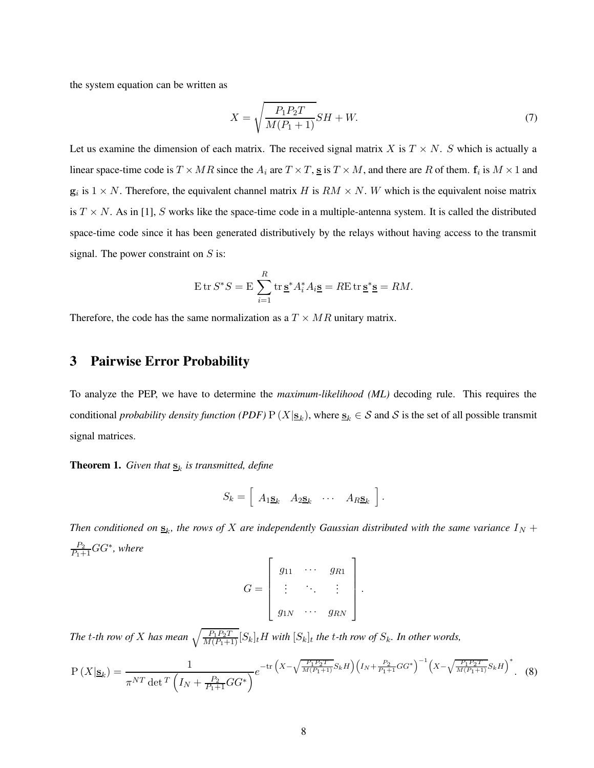the system equation can be written as

$$
X = \sqrt{\frac{P_1 P_2 T}{M (P_1 + 1)}} SH + W.
$$
\n(7)

Let us examine the dimension of each matrix. The received signal matrix X is  $T \times N$ . S which is actually a linear space-time code is  $T \times MR$  since the  $A_i$  are  $T \times T$ ,  $\underline{s}$  is  $T \times M$ , and there are R of them.  $f_i$  is  $M \times 1$  and  $g_i$  is  $1 \times N$ . Therefore, the equivalent channel matrix H is  $RM \times N$ . W which is the equivalent noise matrix is  $T \times N$ . As in [1], S works like the space-time code in a multiple-antenna system. It is called the distributed space-time code since it has been generated distributively by the relays without having access to the transmit signal. The power constraint on  $S$  is:

$$
\operatorname{E} \operatorname{tr} S^* S = \operatorname{E} \sum_{i=1}^R \operatorname{tr} \underline{\mathbf{s}}^* A_i^* A_i \underline{\mathbf{s}} = R \operatorname{E} \operatorname{tr} \underline{\mathbf{s}}^* \underline{\mathbf{s}} = R M.
$$

Therefore, the code has the same normalization as a  $T \times MR$  unitary matrix.

# **3 Pairwise Error Probability**

To analyze the PEP, we have to determine the *maximum-likelihood (ML)* decoding rule. This requires the conditional *probability density function (PDF)*  $P(X|\mathbf{s}_k)$ , where  $\mathbf{s}_k \in \mathcal{S}$  and  $\mathcal{S}$  is the set of all possible transmit signal matrices.

**Theorem 1.** *Given that*  $\underline{\mathbf{s}}_k$  *is transmitted, define* 

$$
S_k = \left[ \begin{array}{cccc} A_1 \mathbf{s}_k & A_2 \mathbf{s}_k & \cdots & A_R \mathbf{s}_k \end{array} \right].
$$

*Then* conditioned on  $\underline{\mathbf{s}}_k$ , the rows of X are independently Gaussian distributed with the same variance  $I_N$  +  $\frac{P_2}{P_1+1}GG^*$ , where

$$
G = \left[ \begin{array}{cccc} g_{11} & \cdots & g_{R1} \\ \vdots & \ddots & \vdots \\ g_{1N} & \cdots & g_{RN} \end{array} \right].
$$

*The t-th row of* X *has mean*  $\sqrt{\frac{P_1P_2T}{M(P_1+1)}}[S_k]_tH$  *with*  $[S_k]_t$  *the t-th row of*  $S_k$ *. In other words,* 

$$
P\left(X|\mathbf{s}_k\right) = \frac{1}{\pi^{NT} \det^T \left(I_N + \frac{P_2}{P_1 + 1} GG^*\right)} e^{-\text{tr}\left(X - \sqrt{\frac{P_1 P_2 T}{M(P_1 + 1)}} S_k H\right) \left(I_N + \frac{P_2}{P_1 + 1} GG^*\right)^{-1} \left(X - \sqrt{\frac{P_1 P_2 T}{M(P_1 + 1)}} S_k H\right)^*}.
$$
 (8)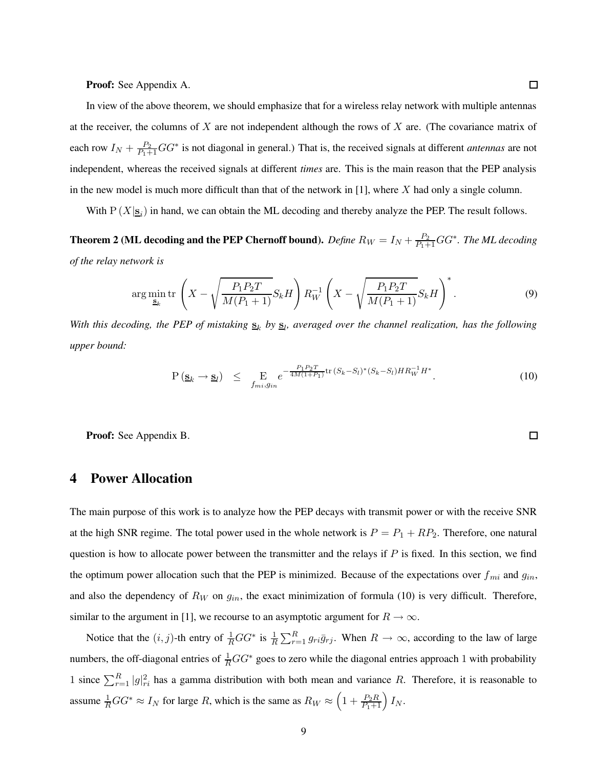**Proof:** See Appendix A.

In view of the above theorem, we should emphasize that for a wireless relay network with multiple antennas at the receiver, the columns of  $X$  are not independent although the rows of  $X$  are. (The covariance matrix of each row  $I_N + \frac{P_2}{P_1+1}GG^*$  is not diagonal in general.) That is, the received signals at different *antennas* are not independent, whereas the received signals at different *times* are. This is the main reason that the PEP analysis in the new model is much more difficult than that of the network in [1], where  $X$  had only a single column.

With  $P(X|\mathbf{s}_i)$  in hand, we can obtain the ML decoding and thereby analyze the PEP. The result follows.

**Theorem 2** (ML decoding and the PEP Chernoff bound). *Define*  $R_W = I_N + \frac{P_2}{P_1+1}GG^*$ . *The ML decoding of the relay network is*

$$
\arg\min_{\mathbf{S}_k} \text{tr}\left(X - \sqrt{\frac{P_1 P_2 T}{M (P_1 + 1)}} S_k H\right) R_W^{-1} \left(X - \sqrt{\frac{P_1 P_2 T}{M (P_1 + 1)}} S_k H\right)^*.
$$
\n(9)

With this decoding, the PEP of mistaking  $s_k$  by  $s_l$ , averaged over the channel realization, has the following *upper bound:*

$$
P\left(\underline{\mathbf{s}}_k \to \underline{\mathbf{s}}_l\right) \leq \underset{f_{mi}, g_{in}}{\mathbb{E}} e^{-\frac{P_1 P_2 T}{4M(1+P_1)} tr\left(S_k - S_l\right)^*(S_k - S_l) H R_W^{-1} H^*}. \tag{10}
$$

**Proof:** See Appendix B.

## **4 Power Allocation**

The main purpose of this work is to analyze how the PEP decays with transmit power or with the receive SNR at the high SNR regime. The total power used in the whole network is  $P = P_1 + RP_2$ . Therefore, one natural question is how to allocate power between the transmitter and the relays if  $P$  is fixed. In this section, we find the optimum power allocation such that the PEP is minimized. Because of the expectations over  $f_{mi}$  and  $g_{in}$ , and also the dependency of  $R_W$  on  $g_{in}$ , the exact minimization of formula (10) is very difficult. Therefore, similar to the argument in [1], we recourse to an asymptotic argument for  $R \to \infty$ .

Notice that the  $(i, j)$ -th entry of  $\frac{1}{R}GG^*$  is  $\frac{1}{R}\sum_{r=1}^R g_{ri}\bar{g}_{rj}$ . When  $R \to \infty$ , according to the law of large numbers, the off-diagonal entries of  $\frac{1}{R}GG^*$  goes to zero while the diagonal entries approach 1 with probability 1 since  $\sum_{r=1}^{R} |g|_{ri}^2$  has a gamma distribution with both mean and variance R. Therefore, it is reasonable to assume  $\frac{1}{R}GG^* \approx I_N$  for large R, which is the same as  $R_W \approx \left(1 + \frac{P_2 R}{P_1 + 1}\right) I_N$ .

 $\Box$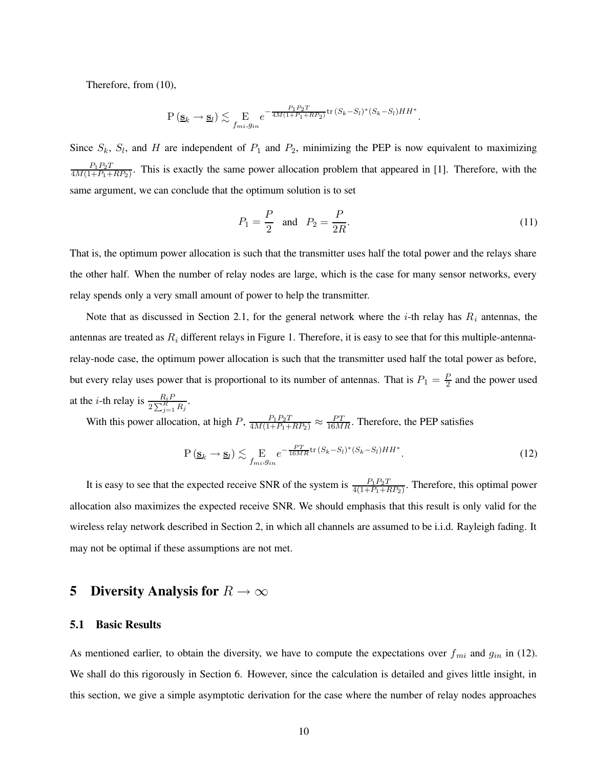Therefore, from (10),

$$
P\left(\underline{\mathbf{s}}_k\to \underline{\mathbf{s}}_l\right)\lesssim \underset{f_{mi},g_{in}}{\mathrm{E}}e^{-\frac{P_1P_2T}{4M(1+P_1+RP_2)}}\mathrm{tr}\left(S_k-S_l\right)^*(S_k-S_l)HH^*.
$$

Since  $S_k$ ,  $S_l$ , and H are independent of  $P_1$  and  $P_2$ , minimizing the PEP is now equivalent to maximizing  $P_1P_2T$  $\frac{P_1P_2T}{4M(1+P_1+RP_2)}$ . This is exactly the same power allocation problem that appeared in [1]. Therefore, with the same argument, we can conclude that the optimum solution is to set

$$
P_1 = \frac{P}{2}
$$
 and  $P_2 = \frac{P}{2R}$ . (11)

That is, the optimum power allocation is such that the transmitter uses half the total power and the relays share the other half. When the number of relay nodes are large, which is the case for many sensor networks, every relay spends only a very small amount of power to help the transmitter.

Note that as discussed in Section 2.1, for the general network where the *i*-th relay has  $R_i$  antennas, the antennas are treated as  $R_i$  different relays in Figure 1. Therefore, it is easy to see that for this multiple-antennarelay-node case, the optimum power allocation is such that the transmitter used half the total power as before, but every relay uses power that is proportional to its number of antennas. That is  $P_1 = \frac{P}{2}$  $\frac{P}{2}$  and the power used at the *i*-th relay is  $\frac{R_i P}{2 \sum_{j=1}^{R} R_j}$ .

With this power allocation, at high  $P$ ,  $\frac{P_1 P_2 T}{4M(1+P_1+RP_2)} \approx \frac{PT}{16M}$  $\frac{PT}{16MR}$ . Therefore, the PEP satisfies

$$
P\left(\underline{\mathbf{s}}_k \to \underline{\mathbf{s}}_l\right) \lesssim \underset{f_{mi}, g_{in}}{\mathrm{E}} e^{-\frac{PT}{16MR} \text{tr}\left(S_k - S_l\right)^*(S_k - S_l)HH^*}. \tag{12}
$$

It is easy to see that the expected receive SNR of the system is  $\frac{P_1P_2T}{4(1+P_1+RP_2)}$ . Therefore, this optimal power allocation also maximizes the expected receive SNR. We should emphasis that this result is only valid for the wireless relay network described in Section 2, in which all channels are assumed to be i.i.d. Rayleigh fading. It may not be optimal if these assumptions are not met.

# **5 Diversity Analysis for**  $R \to \infty$

#### **5.1 Basic Results**

As mentioned earlier, to obtain the diversity, we have to compute the expectations over  $f_{mi}$  and  $g_{in}$  in (12). We shall do this rigorously in Section 6. However, since the calculation is detailed and gives little insight, in this section, we give a simple asymptotic derivation for the case where the number of relay nodes approaches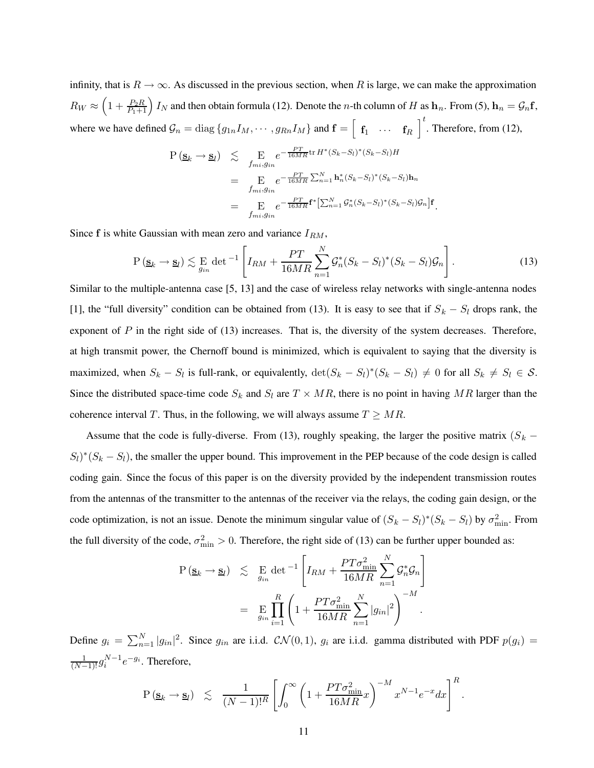infinity, that is  $R \to \infty$ . As discussed in the previous section, when R is large, we can make the approximation  $R_W \approx \left(1+\frac{P_2R}{P_1+1}\right)I_N$  and then obtain formula (12). Denote the *n*-th column of H as  $\mathbf{h}_n$ . From (5),  $\mathbf{h}_n = \mathcal{G}_n\mathbf{f}$ , where we have defined  $\mathcal{G}_n = \text{diag}\{g_{1n}I_M, \dots, g_{Rn}I_M\}$  and  $\mathbf{f} = \begin{bmatrix} \mathbf{f}_1 & \dots & \mathbf{f}_R \end{bmatrix}^t$ . Therefore, from (12),

$$
P\left(\underline{\mathbf{s}}_k \to \underline{\mathbf{s}}_l\right) \lesssim \underset{f_{mi}, g_{in}}{\mathrm{E}} e^{-\frac{PT}{16MR} \text{tr } H^*(S_k - S_l)^*(S_k - S_l)H}
$$
\n
$$
= \underset{f_{mi}, g_{in}}{\mathrm{E}} e^{-\frac{PT}{16MR} \sum_{n=1}^N \mathbf{h}_n^*(S_k - S_l)^*(S_k - S_l) \mathbf{h}_n}
$$
\n
$$
= \underset{f_{mi}, g_{in}}{\mathrm{E}} e^{-\frac{PT}{16MR} \mathbf{f}^* \left[\sum_{n=1}^N \mathcal{G}_n^*(S_k - S_l)^*(S_k - S_l) \mathcal{G}_n\right] \mathbf{f}}.
$$

Since f is white Gaussian with mean zero and variance  $I_{RM}$ ,

$$
\mathcal{P}\left(\underline{\mathbf{s}}_k \to \underline{\mathbf{s}}_l\right) \lesssim \underset{g_{in}}{\mathcal{E}} \det^{-1} \left[ I_{RM} + \frac{PT}{16MR} \sum_{n=1}^N \mathcal{G}_n^*(S_k - S_l)^*(S_k - S_l) \mathcal{G}_n \right]. \tag{13}
$$

Similar to the multiple-antenna case [5, 13] and the case of wireless relay networks with single-antenna nodes [1], the "full diversity" condition can be obtained from (13). It is easy to see that if  $S_k - S_l$  drops rank, the exponent of  $P$  in the right side of (13) increases. That is, the diversity of the system decreases. Therefore, at high transmit power, the Chernoff bound is minimized, which is equivalent to saying that the diversity is maximized, when  $S_k - S_l$  is full-rank, or equivalently,  $\det(S_k - S_l)^*(S_k - S_l) \neq 0$  for all  $S_k \neq S_l \in S$ . Since the distributed space-time code  $S_k$  and  $S_l$  are  $T \times MR$ , there is no point in having MR larger than the coherence interval T. Thus, in the following, we will always assume  $T \ge MR$ .

Assume that the code is fully-diverse. From (13), roughly speaking, the larger the positive matrix ( $S_k$  –  $S_l$ <sup>\*</sup>( $S_k - S_l$ ), the smaller the upper bound. This improvement in the PEP because of the code design is called coding gain. Since the focus of this paper is on the diversity provided by the independent transmission routes from the antennas of the transmitter to the antennas of the receiver via the relays, the coding gain design, or the code optimization, is not an issue. Denote the minimum singular value of  $(S_k - S_l)^*(S_k - S_l)$  by  $\sigma_{\min}^2$ . From the full diversity of the code,  $\sigma_{\min}^2 > 0$ . Therefore, the right side of (13) can be further upper bounded as:

$$
P(\underline{\mathbf{s}}_k \to \underline{\mathbf{s}}_l) \leq E_{g_{in}} \det^{-1} \left[ I_{RM} + \frac{PT \sigma_{\min}^2}{16MR} \sum_{n=1}^N \mathcal{G}_n^* \mathcal{G}_n \right]
$$
  
= 
$$
E_{g_{in}} \prod_{i=1}^R \left( 1 + \frac{PT \sigma_{\min}^2}{16MR} \sum_{n=1}^N |g_{in}|^2 \right)^{-M}.
$$

Define  $g_i = \sum_{n=1}^{N} |g_{in}|^2$ . Since  $g_{in}$  are i.i.d.  $CN(0, 1)$ ,  $g_i$  are i.i.d. gamma distributed with PDF  $p(g_i)$  =  $\frac{1}{(N-1)!} g_i^{N-1} e^{-g_i}$ . Therefore,

$$
P\left(\underline{\mathbf{s}}_k \to \underline{\mathbf{s}}_l\right) \leq \frac{1}{(N-1)!^R} \left[ \int_0^\infty \left(1 + \frac{PT\sigma_{\min}^2}{16MR}x\right)^{-M} x^{N-1} e^{-x} dx \right]^R
$$

.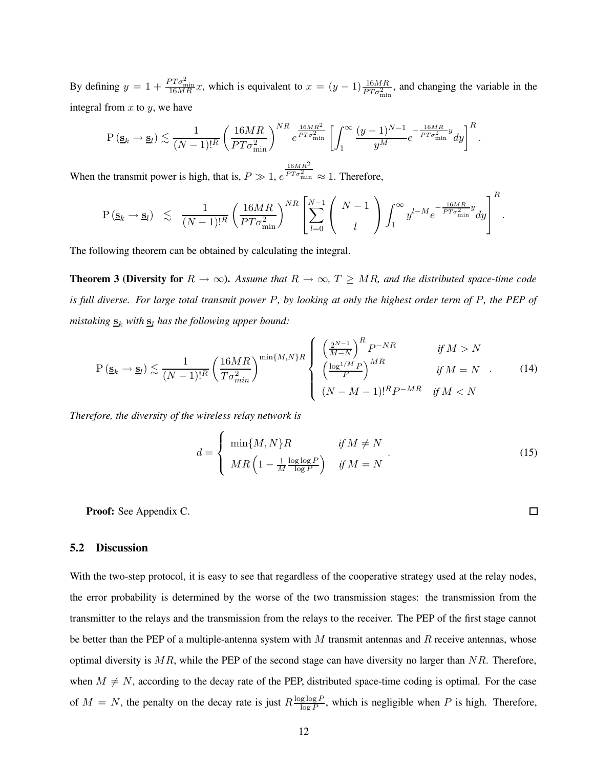By defining  $y = 1 + \frac{PT\sigma_{\min}^2}{16MR}x$ , which is equivalent to  $x = (y - 1) \frac{16MR}{PT\sigma_{\min}^2}$ , and changing the variable in the integral from  $x$  to  $y$ , we have

$$
\mathbf{P}\left(\underline{\mathbf{s}}_k \to \underline{\mathbf{s}}_l\right) \lesssim \frac{1}{(N-1)!^R} \left(\frac{16MR}{PT\sigma_{\min}^2}\right)^{NR} e^{\frac{16MR^2}{PT\sigma_{\min}^2}} \left[\int_1^\infty \frac{(y-1)^{N-1}}{y^M} e^{-\frac{16MR}{PT\sigma_{\min}^2}y} dy\right]^R.
$$

When the transmit power is high, that is,  $P \gg 1$ , e  $\frac{16MR^2}{PT\sigma_{\min}^2} \approx 1$ . Therefore,

$$
\mathrm{P}\left(\underline{\mathbf{s}}_k\rightarrow \underline{\mathbf{s}}_l\right) \hspace{2mm} \lesssim \hspace{2mm} \frac{1}{(N-1)!^R} \left(\frac{16MR}{PT\sigma_{\min}^2}\right)^{NR} \left[\sum_{l=0}^{N-1} \left(\begin{array}{c} N-1 \\ l\end{array}\right) \int_{1}^{\infty} y^{l-M} e^{-\frac{16MR}{PT\sigma_{\min}^2}y} dy\right]^R.
$$

The following theorem can be obtained by calculating the integral.

**Theorem 3 (Diversity for**  $R \to \infty$ ). Assume that  $R \to \infty$ ,  $T \ge MR$ , and the distributed space-time code is full diverse. For large total transmit power  $P$ , by looking at only the highest order term of  $P$ , the PEP of *mistaking*  $\underline{\mathbf{s}}_k$  *with*  $\underline{\mathbf{s}}_l$  *has the following upper bound:* 

$$
P\left(\underline{\mathbf{s}}_k \to \underline{\mathbf{s}}_l\right) \lesssim \frac{1}{(N-1)!^R} \left(\frac{16MR}{T\sigma_{min}^2}\right)^{\min\{M,N\}R} \begin{cases} \left(\frac{2^{N-1}}{M-N}\right)^R P^{-NR} & \text{if } M > N\\ \left(\frac{\log^{1/M} P}{P}\right)^{MR} & \text{if } M = N\\ \left(N - M - 1\right)!^R P^{-MR} & \text{if } M < N \end{cases} \tag{14}
$$

*Therefore, the diversity of the wireless relay network is*

$$
d = \begin{cases} \min\{M, N\}R & \text{if } M \neq N \\ MR\left(1 - \frac{1}{M} \frac{\log \log P}{\log P}\right) & \text{if } M = N \end{cases} \tag{15}
$$

 $\Box$ 

**Proof:** See Appendix C.

#### **5.2 Discussion**

With the two-step protocol, it is easy to see that regardless of the cooperative strategy used at the relay nodes, the error probability is determined by the worse of the two transmission stages: the transmission from the transmitter to the relays and the transmission from the relays to the receiver. The PEP of the first stage cannot be better than the PEP of a multiple-antenna system with  $M$  transmit antennas and  $R$  receive antennas, whose optimal diversity is  $MR$ , while the PEP of the second stage can have diversity no larger than  $NR$ . Therefore, when  $M \neq N$ , according to the decay rate of the PEP, distributed space-time coding is optimal. For the case of  $M = N$ , the penalty on the decay rate is just  $R \frac{\log \log P}{\log P}$  $\frac{\text{g} \log P}{\log P}$ , which is negligible when P is high. Therefore,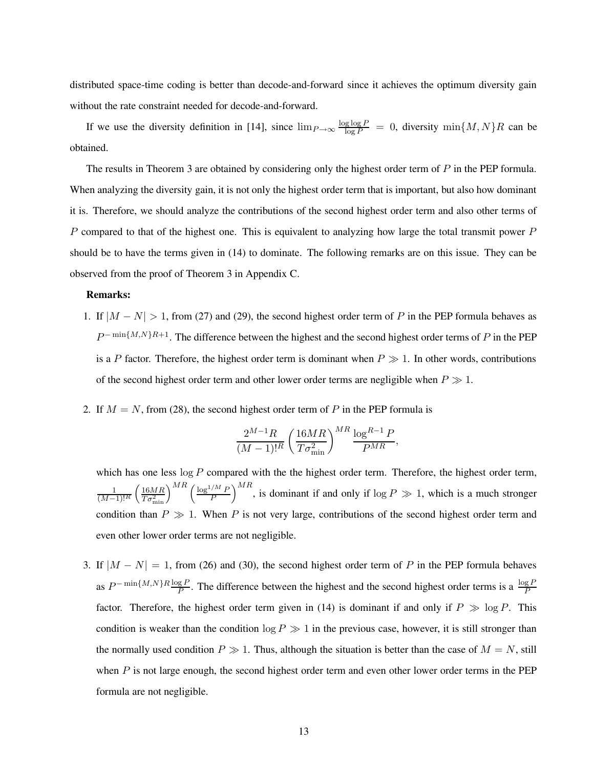distributed space-time coding is better than decode-and-forward since it achieves the optimum diversity gain without the rate constraint needed for decode-and-forward.

If we use the diversity definition in [14], since  $\lim_{P\to\infty} \frac{\log \log P}{\log P} = 0$ , diversity  $\min\{M, N\}R$  can be obtained.

The results in Theorem 3 are obtained by considering only the highest order term of P in the PEP formula. When analyzing the diversity gain, it is not only the highest order term that is important, but also how dominant it is. Therefore, we should analyze the contributions of the second highest order term and also other terms of P compared to that of the highest one. This is equivalent to analyzing how large the total transmit power P should be to have the terms given in (14) to dominate. The following remarks are on this issue. They can be observed from the proof of Theorem 3 in Appendix C.

#### **Remarks:**

- 1. If  $|M N| > 1$ , from (27) and (29), the second highest order term of P in the PEP formula behaves as  $P^{-\min\{M,N\}R+1}$ . The difference between the highest and the second highest order terms of P in the PEP is a P factor. Therefore, the highest order term is dominant when  $P \gg 1$ . In other words, contributions of the second highest order term and other lower order terms are negligible when  $P \gg 1$ .
- 2. If  $M = N$ , from (28), the second highest order term of P in the PEP formula is

$$
\frac{2^{M-1}R}{(M-1)!^R} \left(\frac{16MR}{T\sigma_{\min}^2}\right)^{MR} \frac{\log^{R-1}P}{P^{MR}},
$$

which has one less  $\log P$  compared with the the highest order term. Therefore, the highest order term,  $\frac{1}{(M-1)!^R}$  $(16MR$  $T\sigma_{\min}^2$  $\bigwedge^{MR} \bigwedge \log^{1/M} P$ P  $\big)^{MR}$ , is dominant if and only if  $\log P \gg 1$ , which is a much stronger condition than  $P \gg 1$ . When P is not very large, contributions of the second highest order term and even other lower order terms are not negligible.

3. If  $|M - N| = 1$ , from (26) and (30), the second highest order term of P in the PEP formula behaves as  $P^{-\min\{M,N\}R}\frac{\log P}{P}$ . The difference between the highest and the second highest order terms is a  $\frac{\log P}{P}$ P factor. Therefore, the highest order term given in (14) is dominant if and only if  $P \gg \log P$ . This condition is weaker than the condition  $\log P \gg 1$  in the previous case, however, it is still stronger than the normally used condition  $P \gg 1$ . Thus, although the situation is better than the case of  $M = N$ , still when  $P$  is not large enough, the second highest order term and even other lower order terms in the PEP formula are not negligible.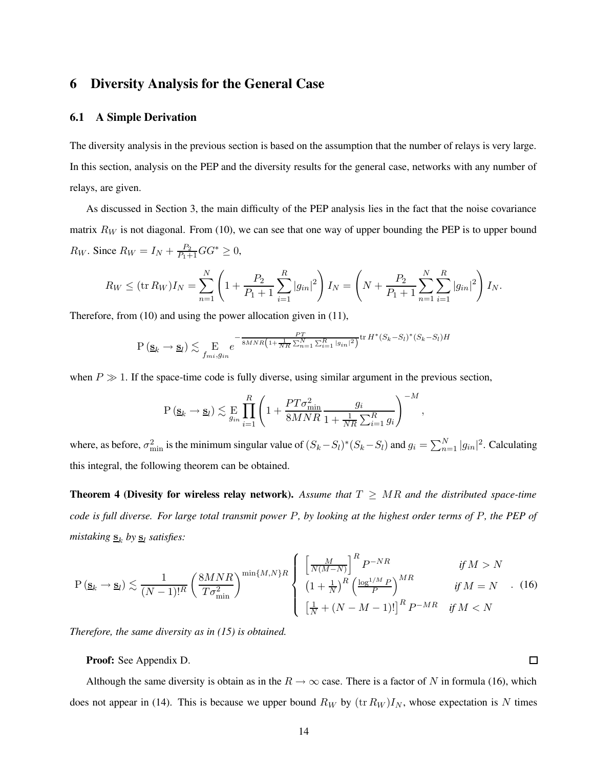## **6 Diversity Analysis for the General Case**

## **6.1 A Simple Derivation**

The diversity analysis in the previous section is based on the assumption that the number of relays is very large. In this section, analysis on the PEP and the diversity results for the general case, networks with any number of relays, are given.

As discussed in Section 3, the main difficulty of the PEP analysis lies in the fact that the noise covariance matrix  $R_W$  is not diagonal. From (10), we can see that one way of upper bounding the PEP is to upper bound  $R_W$ . Since  $R_W = I_N + \frac{P_2}{P_1 + 1} G G^* \ge 0$ ,

$$
R_W \leq (\text{tr } R_W) I_N = \sum_{n=1}^N \left( 1 + \frac{P_2}{P_1 + 1} \sum_{i=1}^R |g_{in}|^2 \right) I_N = \left( N + \frac{P_2}{P_1 + 1} \sum_{n=1}^N \sum_{i=1}^R |g_{in}|^2 \right) I_N.
$$

Therefore, from (10) and using the power allocation given in (11),

$$
\mathbf{P}\left(\underline{\mathbf{s}}_k \rightarrow \underline{\mathbf{s}}_l\right) \lesssim \mathop{\mathbf{E}}_{\text{fmi},\text{gin}} e^{-\frac{PT}{8MNR\left(1 + \frac{1}{NR}\sum_{n=1}^N \sum_{i=1}^R |g_{in}|^2\right)} \text{tr } H^*(S_k - S_l)^*(S_k - S_l)H}
$$

when  $P \gg 1$ . If the space-time code is fully diverse, using similar argument in the previous section,

$$
P\left(\underline{\mathbf{s}}_k \to \underline{\mathbf{s}}_l\right) \lesssim \underset{g_{in}}{\mathrm{E}} \prod_{i=1}^R \left(1 + \frac{PT\sigma_{\min}^2}{8MNR} \frac{g_i}{1 + \frac{1}{NR} \sum_{i=1}^R g_i}\right)^{-M}
$$

where, as before,  $\sigma_{\min}^2$  is the minimum singular value of  $(S_k - S_l)^*(S_k - S_l)$  and  $g_i = \sum_{n=1}^N |g_{in}|^2$ . Calculating this integral, the following theorem can be obtained.

,

**Theorem 4 (Divesity for wireless relay network).** Assume that  $T \ge MR$  and the distributed space-time code is full diverse. For large total transmit power P, by looking at the highest order terms of P, the PEP of *mistaking*  $\underline{\mathbf{s}}_k$  *by*  $\underline{\mathbf{s}}_l$  *satisfies:* 

$$
P\left(\underline{\mathbf{s}}_k \to \underline{\mathbf{s}}_l\right) \lesssim \frac{1}{(N-1)!^R} \left(\frac{8MNR}{T\sigma_{\min}^2}\right)^{\min\{M,N\}R} \begin{cases} \left[\frac{M}{N(M-N)}\right]^R P^{-NR} & \text{if } M > N\\ \left(1 + \frac{1}{N}\right)^R \left(\frac{\log^{1/M} P}{P}\right)^{MR} & \text{if } M = N\\ \left[\frac{1}{N} + (N - M - 1)!\right]^R P^{-MR} & \text{if } M < N \end{cases} \tag{16}
$$

*Therefore, the same diversity as in (15) is obtained.*

#### **Proof:** See Appendix D.

Although the same diversity is obtain as in the  $R \to \infty$  case. There is a factor of N in formula (16), which does not appear in (14). This is because we upper bound  $R_W$  by  $(\text{tr } R_W)I_N$ , whose expectation is N times

 $\Box$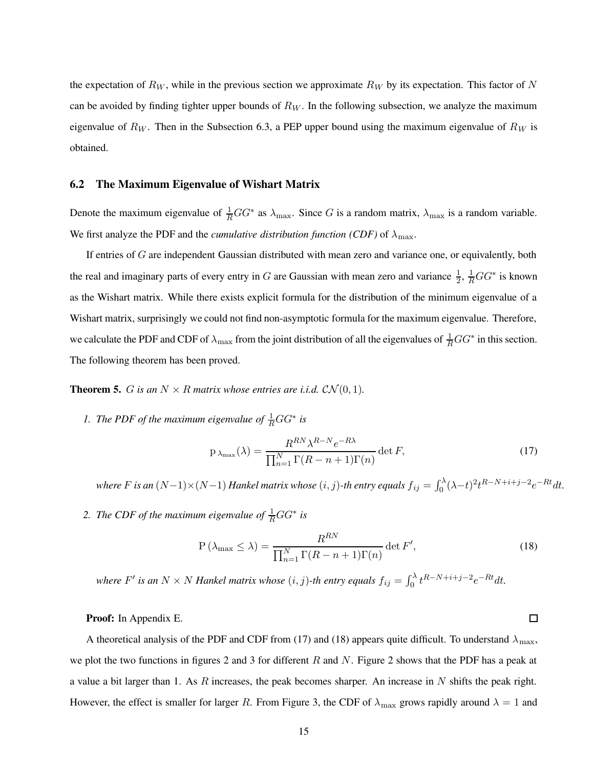the expectation of  $R_W$ , while in the previous section we approximate  $R_W$  by its expectation. This factor of N can be avoided by finding tighter upper bounds of  $R_W$ . In the following subsection, we analyze the maximum eigenvalue of  $R_W$ . Then in the Subsection 6.3, a PEP upper bound using the maximum eigenvalue of  $R_W$  is obtained.

#### **6.2 The Maximum Eigenvalue of Wishart Matrix**

Denote the maximum eigenvalue of  $\frac{1}{R}GG^*$  as  $\lambda_{\max}$ . Since G is a random matrix,  $\lambda_{\max}$  is a random variable. We first analyze the PDF and the *cumulative distribution function (CDF)* of  $\lambda_{\text{max}}$ .

If entries of G are independent Gaussian distributed with mean zero and variance one, or equivalently, both the real and imaginary parts of every entry in G are Gaussian with mean zero and variance  $\frac{1}{2}$ ,  $\frac{1}{R}GG^*$  is known as the Wishart matrix. While there exists explicit formula for the distribution of the minimum eigenvalue of a Wishart matrix, surprisingly we could not find non-asymptotic formula for the maximum eigenvalue. Therefore, we calculate the PDF and CDF of  $\lambda_{\max}$  from the joint distribution of all the eigenvalues of  $\frac{1}{R}GG^*$  in this section. The following theorem has been proved.

**Theorem 5.** G is an  $N \times R$  *matrix* whose entries are *i.i.d.*  $CN(0, 1)$ *.* 

*1. The PDF of the maximum eigenvalue of*  $\frac{1}{R}GG^*$  *is* 

$$
p_{\lambda_{\max}}(\lambda) = \frac{R^{RN} \lambda^{R-N} e^{-R\lambda}}{\prod_{n=1}^{N} \Gamma(R-n+1) \Gamma(n)} \det F,
$$
\n(17)

where F is an  $(N-1)\times(N-1)$  Hankel matrix whose  $(i,j)$ -th entry equals  $f_{ij}=\int_0^\lambda (\lambda-t)^2t^{R-N+i+j-2}e^{-Rt}dt$ .

2. *The CDF of the maximum eigenvalue of*  $\frac{1}{R}GG^*$  *is* 

$$
P\left(\lambda_{\max} \le \lambda\right) = \frac{R^{RN}}{\prod_{n=1}^{N} \Gamma(R - n + 1)\Gamma(n)} \det F',\tag{18}
$$

*where*  $F'$  *is an*  $N \times N$  *Hankel matrix whose*  $(i, j)$ -*th entry equals*  $f_{ij} = \int_0^{\lambda} t^{R-N+i+j-2} e^{-Rt} dt$ .

#### **Proof:** In Appendix E.

A theoretical analysis of the PDF and CDF from (17) and (18) appears quite difficult. To understand  $\lambda_{\text{max}}$ , we plot the two functions in figures 2 and 3 for different  $R$  and  $N$ . Figure 2 shows that the PDF has a peak at a value a bit larger than 1. As R increases, the peak becomes sharper. An increase in  $N$  shifts the peak right. However, the effect is smaller for larger R. From Figure 3, the CDF of  $\lambda_{\text{max}}$  grows rapidly around  $\lambda = 1$  and

 $\Box$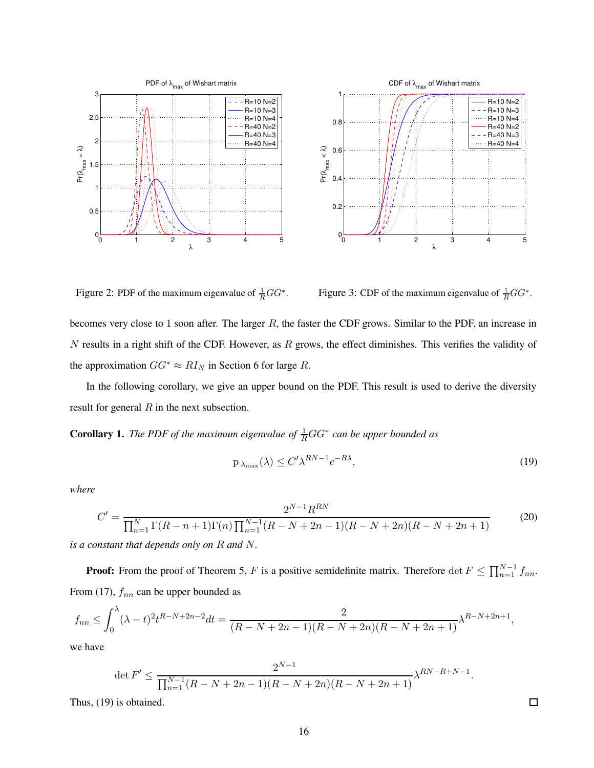



Figure 2: PDF of the maximum eigenvalue of  $\frac{1}{R}GG^*$ .



 $\Box$ 

becomes very close to 1 soon after. The larger R, the faster the CDF grows. Similar to the PDF, an increase in  $N$  results in a right shift of the CDF. However, as  $R$  grows, the effect diminishes. This verifies the validity of the approximation  $GG^* \approx R I_N$  in Section 6 for large R.

In the following corollary, we give an upper bound on the PDF. This result is used to derive the diversity result for general  $R$  in the next subsection.

**Corollary 1.** *The PDF of the maximum eigenvalue of*  $\frac{1}{R}GG^*$  *can be upper bounded as* 

$$
p_{\lambda_{\max}}(\lambda) \le C' \lambda^{RN-1} e^{-R\lambda},\tag{19}
$$

*where*

$$
C' = \frac{2^{N-1}R^{RN}}{\prod_{n=1}^{N} \Gamma(R - n + 1)\Gamma(n) \prod_{n=1}^{N-1} (R - N + 2n - 1)(R - N + 2n)(R - N + 2n + 1)}
$$
(20)

*is a constant that depends only on* R *and* N*.*

**Proof:** From the proof of Theorem 5, F is a positive semidefinite matrix. Therefore  $\det F \leq \prod_{n=1}^{N-1} f_{nn}$ . From (17),  $f_{nn}$  can be upper bounded as

$$
f_{nn} \leq \int_0^{\lambda} (\lambda - t)^2 t^{R - N + 2n - 2} dt = \frac{2}{(R - N + 2n - 1)(R - N + 2n)(R - N + 2n + 1)} \lambda^{R - N + 2n + 1},
$$

we have

$$
\det F' \le \frac{2^{N-1}}{\prod_{n=1}^{N-1} (R - N + 2n - 1)(R - N + 2n)(R - N + 2n + 1)} \lambda^{RN - R + N - 1}.
$$

Thus, (19) is obtained.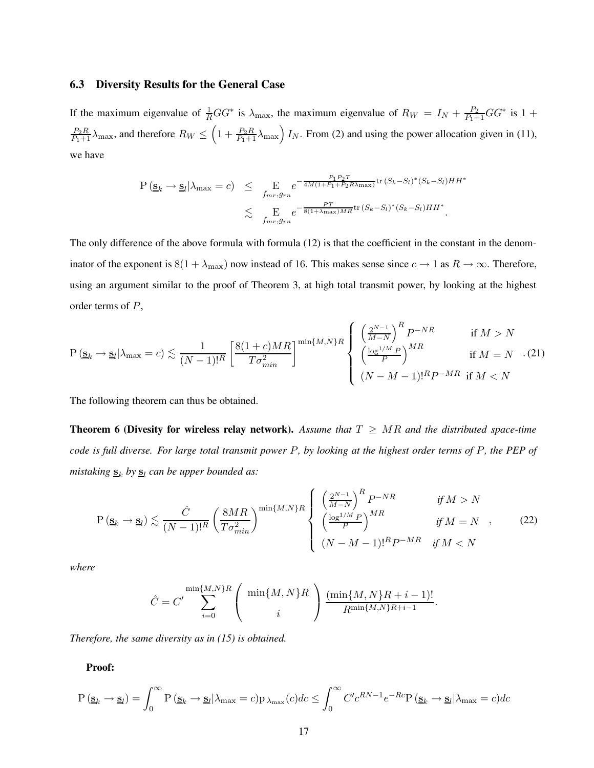#### **6.3 Diversity Results for the General Case**

If the maximum eigenvalue of  $\frac{1}{R}GG^*$  is  $\lambda_{\text{max}}$ , the maximum eigenvalue of  $R_W = I_N + \frac{P_2}{P_1+1}GG^*$  is  $1 +$  $\frac{P_2R}{P_1+1}\lambda_{\max}$ , and therefore  $R_W \leq \left(1 + \frac{P_2R}{P_1+1}\lambda_{\max}\right)I_N$ . From (2) and using the power allocation given in (11), we have

$$
P\left(\underline{\mathbf{s}}_k \to \underline{\mathbf{s}}_l | \lambda_{\max} = c\right) \leq \underset{f_{mr}, g_{rn}}{\mathbb{E}} e^{-\frac{P_1 P_2 T}{4M(1 + P_1 + P_2 R \lambda_{\max})} tr\left(S_k - S_l\right)^* \left(S_k - S_l\right) H H^*}} \leq \underset{f_{mr}, g_{rn}}{\mathbb{E}} e^{-\frac{PT}{8(1 + \lambda_{\max}) M R} tr\left(S_k - S_l\right)^* \left(S_k - S_l\right) H H^*}}.
$$

The only difference of the above formula with formula (12) is that the coefficient in the constant in the denominator of the exponent is  $8(1 + \lambda_{\text{max}})$  now instead of 16. This makes sense since  $c \to 1$  as  $R \to \infty$ . Therefore, using an argument similar to the proof of Theorem 3, at high total transmit power, by looking at the highest order terms of P,

$$
P\left(\underline{\mathbf{s}}_k \to \underline{\mathbf{s}}_l | \lambda_{\max} = c\right) \lesssim \frac{1}{(N-1)!^R} \left[ \frac{8(1+c)MR}{T\sigma_{min}^2} \right]^{\min\{M,N\}R} \left\{ \begin{array}{ll} \left(\frac{2^{N-1}}{M-N}\right)^R P^{-NR} & \text{if } M > N\\ \left(\frac{\log^{1/M} P}{P}\right)^{MR} & \text{if } M = N \end{array} \right. \tag{21}
$$
\n
$$
(N-M-1)!^R P^{-MR} \text{ if } M < N
$$

The following theorem can thus be obtained.

**Theorem 6 (Divesity for wireless relay network).** Assume that  $T \ge MR$  and the distributed space-time code is full diverse. For large total transmit power P, by looking at the highest order terms of P, the PEP of  $m$ *istaking*  $\underline{\mathbf{s}}_k$  *by*  $\underline{\mathbf{s}}_l$  *can be upper bounded as:* 

$$
P\left(\underline{\mathbf{s}}_k \to \underline{\mathbf{s}}_l\right) \lesssim \frac{\hat{C}}{(N-1)!R} \left(\frac{8MR}{T\sigma_{min}^2}\right)^{\min\{M,N\}R} \begin{cases} \left(\frac{2^{N-1}}{M-N}\right)^R P^{-NR} & \text{if } M > N\\ \left(\frac{\log^{1/M} P}{P}\right)^{MR} & \text{if } M = N\\ \left(N - M - 1\right)!R P^{-MR} & \text{if } M < N \end{cases}
$$
 (22)

*where*

$$
\hat{C} = C' \sum_{i=0}^{\min\{M,N\}R} \left( \min\{M,N\}R \atop i \right) \frac{(\min\{M,N\}R + i - 1)!}{R^{\min\{M,N\}R + i - 1}}.
$$

*Therefore, the same diversity as in (15) is obtained.*

**Proof:**

$$
P(\underline{\mathbf{s}}_k \to \underline{\mathbf{s}}_l) = \int_0^\infty P(\underline{\mathbf{s}}_k \to \underline{\mathbf{s}}_l | \lambda_{\max} = c) p_{\lambda_{\max}}(c) dc \le \int_0^\infty C' c^{RN-1} e^{-Rc} P(\underline{\mathbf{s}}_k \to \underline{\mathbf{s}}_l | \lambda_{\max} = c) dc
$$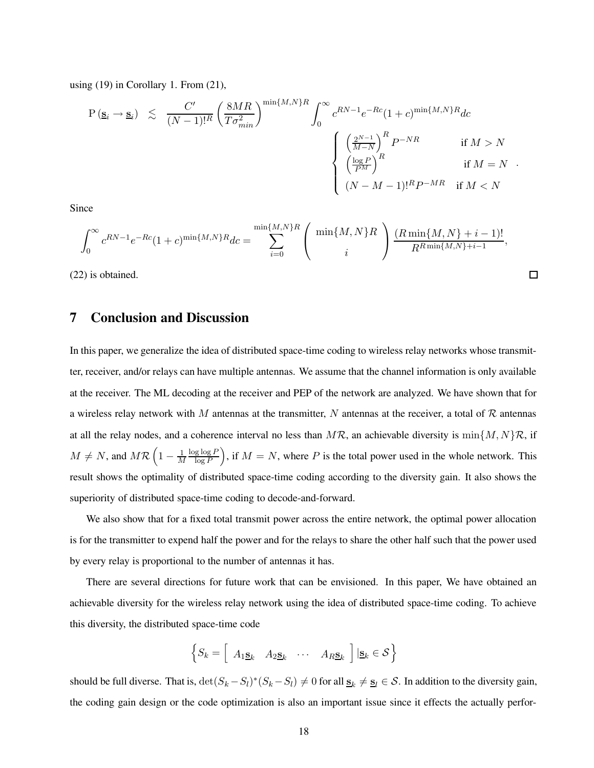using (19) in Corollary 1. From (21),

$$
P\left(\underline{\mathbf{s}}_i \rightarrow \underline{\mathbf{s}}_i\right) \leq \frac{C'}{(N-1)!^R} \left(\frac{8MR}{T\sigma_{min}^2}\right)^{\min\{M,N\}R} \int_0^\infty c^{RN-1} e^{-Rc} (1+c)^{\min\{M,N\}R} dc
$$
\n
$$
\begin{cases}\n\left(\frac{2^{N-1}}{M-N}\right)^R P^{-NR} & \text{if } M > N \\
\left(\frac{\log P}{P^M}\right)^R & \text{if } M = N \\
(N-M-1)!^R P^{-MR} & \text{if } M < N\n\end{cases}
$$

.

Since

$$
\int_0^{\infty} e^{RN-1} e^{-Rc} (1+c)^{\min\{M,N\}R} dc = \sum_{i=0}^{\min\{M,N\}R} \left( \begin{array}{c} \min\{M,N\}R \\ i \end{array} \right) \frac{(R\min\{M,N\}+i-1)!}{R^{R\min\{M,N\}+i-1}},
$$
\n2) is obtained.

(22) is obtained.

# **7 Conclusion and Discussion**

In this paper, we generalize the idea of distributed space-time coding to wireless relay networks whose transmitter, receiver, and/or relays can have multiple antennas. We assume that the channel information is only available at the receiver. The ML decoding at the receiver and PEP of the network are analyzed. We have shown that for a wireless relay network with M antennas at the transmitter, N antennas at the receiver, a total of  $\mathcal R$  antennas at all the relay nodes, and a coherence interval no less than  $MR$ , an achievable diversity is  $\min\{M, N\}R$ , if  $M \neq N$ , and  $M\mathcal{R}$   $\left(1 - \frac{1}{M}\right)$ M  $\log \log F$  $\log P$ ), if  $M = N$ , where P is the total power used in the whole network. This result shows the optimality of distributed space-time coding according to the diversity gain. It also shows the superiority of distributed space-time coding to decode-and-forward.

We also show that for a fixed total transmit power across the entire network, the optimal power allocation is for the transmitter to expend half the power and for the relays to share the other half such that the power used by every relay is proportional to the number of antennas it has.

There are several directions for future work that can be envisioned. In this paper, We have obtained an achievable diversity for the wireless relay network using the idea of distributed space-time coding. To achieve this diversity, the distributed space-time code

$$
\left\{ S_k = \begin{bmatrix} A_{1\mathbf{S}_k} & A_{2\mathbf{S}_k} & \cdots & A_{R\mathbf{S}_k} \end{bmatrix} \middle| \mathbf{S}_k \in \mathcal{S} \right\}
$$

should be full diverse. That is,  $\det(S_k - S_l)^*(S_k - S_l) \neq 0$  for all  $\underline{\mathbf{s}}_k \neq \underline{\mathbf{s}}_l \in \mathcal{S}$ . In addition to the diversity gain, the coding gain design or the code optimization is also an important issue since it effects the actually perfor-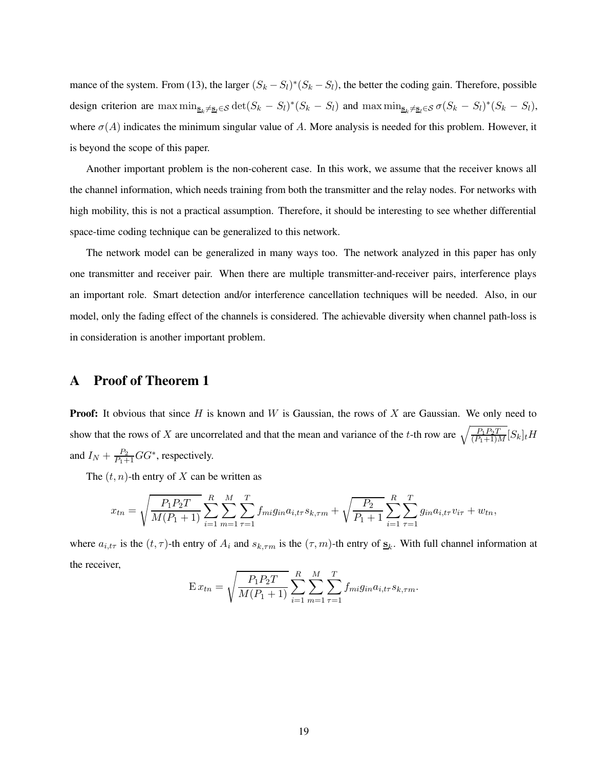mance of the system. From (13), the larger  $(S_k - S_l)^*(S_k - S_l)$ , the better the coding gain. Therefore, possible design criterion are  $\max \min_{\mathbf{s}_k \neq \mathbf{s}_l \in \mathcal{S}} \det(S_k - S_l)^*(S_k - S_l)$  and  $\max \min_{\mathbf{s}_k \neq \mathbf{s}_l \in \mathcal{S}} \sigma(S_k - S_l)^*(S_k - S_l)$ , where  $\sigma(A)$  indicates the minimum singular value of A. More analysis is needed for this problem. However, it is beyond the scope of this paper.

Another important problem is the non-coherent case. In this work, we assume that the receiver knows all the channel information, which needs training from both the transmitter and the relay nodes. For networks with high mobility, this is not a practical assumption. Therefore, it should be interesting to see whether differential space-time coding technique can be generalized to this network.

The network model can be generalized in many ways too. The network analyzed in this paper has only one transmitter and receiver pair. When there are multiple transmitter-and-receiver pairs, interference plays an important role. Smart detection and/or interference cancellation techniques will be needed. Also, in our model, only the fading effect of the channels is considered. The achievable diversity when channel path-loss is in consideration is another important problem.

# **A Proof of Theorem 1**

**Proof:** It obvious that since H is known and W is Gaussian, the rows of X are Gaussian. We only need to show that the rows of X are uncorrelated and that the mean and variance of the t-th row are  $\sqrt{\frac{P_1P_2T}{(P_1+1)M}}[S_k]_tH$ and  $I_N + \frac{P_2}{P_1+1}GG^*$ , respectively.

The  $(t, n)$ -th entry of X can be written as

$$
x_{tn} = \sqrt{\frac{P_1 P_2 T}{M (P_1 + 1)}} \sum_{i=1}^{R} \sum_{m=1}^{M} \sum_{\tau=1}^{T} f_{mi} g_{in} a_{i,t\tau} s_{k,\tau m} + \sqrt{\frac{P_2}{P_1 + 1}} \sum_{i=1}^{R} \sum_{\tau=1}^{T} g_{in} a_{i,t\tau} v_{i\tau} + w_{tn},
$$

where  $a_{i,t\tau}$  is the  $(t,\tau)$ -th entry of  $A_i$  and  $s_{k,\tau m}$  is the  $(\tau,m)$ -th entry of  $\underline{s}_k$ . With full channel information at the receiver,

$$
E x_{tn} = \sqrt{\frac{P_1 P_2 T}{M (P_1 + 1)}} \sum_{i=1}^{R} \sum_{m=1}^{M} \sum_{\tau=1}^{T} f_{mi} g_{in} a_{i, tr} s_{k, \tau m}.
$$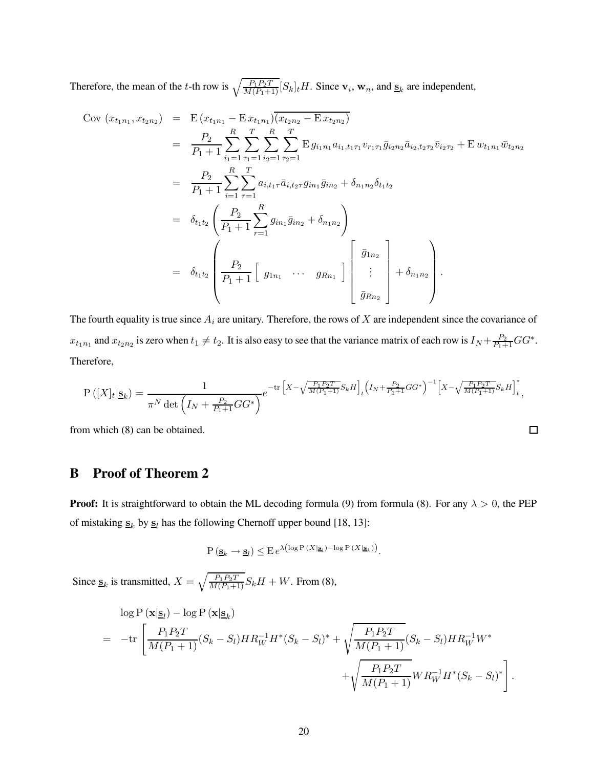Therefore, the mean of the t-th row is  $\sqrt{\frac{P_1 P_2 T}{M(P_1+1)}} [S_k]_t H$ . Since  $v_i$ ,  $w_n$ , and  $\underline{s}_k$  are independent,

$$
\begin{split}\n\text{Cov} \ (x_{t_1n_1}, x_{t_2n_2}) &= \ \mathbf{E} \left( x_{t_1n_1} - \mathbf{E} \, x_{t_1n_1} \right) \overline{(x_{t_2n_2} - \mathbf{E} \, x_{t_2n_2})} \\
&= \ \frac{P_2}{P_1 + 1} \sum_{i_1=1}^R \sum_{\tau_1=1}^T \sum_{i_2=1}^R \sum_{\tau_2=1}^T \mathbf{E} \, g_{i_1n_1} a_{i_1, t_1\tau_1} v_{r_1\tau_1} \overline{g}_{i_2n_2} \overline{a}_{i_2, t_2\tau_2} \overline{v}_{i_2\tau_2} + \mathbf{E} \, w_{t_1n_1} \overline{w}_{t_2n_2} \\
&= \ \frac{P_2}{P_1 + 1} \sum_{i=1}^R \sum_{\tau=1}^T a_{i, t_1\tau} \overline{a}_{i, t_2\tau} g_{i n_1} \overline{g}_{i n_2} + \delta_{n_1n_2} \delta_{t_1t_2} \\
&= \ \delta_{t_1t_2} \left( \frac{P_2}{P_1 + 1} \sum_{\tau=1}^R g_{i n_1} \overline{g}_{i n_2} + \delta_{n_1n_2} \right) \\
&= \ \delta_{t_1t_2} \left( \frac{P_2}{P_1 + 1} \left[ \begin{array}{ccc} g_{1n_1} & \dots & g_{Rn_1} \end{array} \right] \left[ \begin{array}{ccc} \overline{g}_{1n_2} \\ \vdots \\ \overline{g}_{Rn_2} \end{array} \right] + \delta_{n_1n_2} \right).\n\end{split}
$$

The fourth equality is true since  $A_i$  are unitary. Therefore, the rows of  $X$  are independent since the covariance of  $x_{t_1n_1}$  and  $x_{t_2n_2}$  is zero when  $t_1 \neq t_2$ . It is also easy to see that the variance matrix of each row is  $I_N + \frac{P_2}{P_1+1}GG^*$ . Therefore,

$$
P([X]_t | \mathbf{s}_k) = \frac{1}{\pi^N \det \left( I_N + \frac{P_2}{P_1 + 1} GG^* \right)} e^{-\text{tr} \left[ X - \sqrt{\frac{P_1 P_2 T}{M (P_1 + 1)}} S_k H \right]_t \left( I_N + \frac{P_2}{P_1 + 1} GG^* \right)^{-1} \left[ X - \sqrt{\frac{P_1 P_2 T}{M (P_1 + 1)}} S_k H \right]_t^*,
$$

 $\square$ 

from which (8) can be obtained.

# **B Proof of Theorem 2**

**Proof:** It is straightforward to obtain the ML decoding formula (9) from formula (8). For any  $\lambda > 0$ , the PEP of mistaking  $\underline{\mathbf{s}}_k$  by  $\underline{\mathbf{s}}_l$  has the following Chernoff upper bound [18, 13]:

$$
P\left(\underline{\mathbf{s}}_k \to \underline{\mathbf{s}}_l\right) \leq E \, e^{\lambda \left(\log P\left(X|\underline{\mathbf{s}}_l\right) - \log P\left(X|\underline{\mathbf{s}}_k\right)\right)}.
$$

Since  $\underline{\mathbf{s}}_k$  is transmitted,  $X = \sqrt{\frac{P_1 P_2 T}{M (P_1 + 1)}} S_k H + W$ . From (8),

$$
\log P(\mathbf{x}|\mathbf{s}_{l}) - \log P(\mathbf{x}|\mathbf{s}_{k})
$$
  
= 
$$
-\text{tr}\left[\frac{P_{1}P_{2}T}{M(P_{1}+1)}(S_{k}-S_{l})HR_{W}^{-1}H^{*}(S_{k}-S_{l})^{*} + \sqrt{\frac{P_{1}P_{2}T}{M(P_{1}+1)}}(S_{k}-S_{l})HR_{W}^{-1}W^{*} + \sqrt{\frac{P_{1}P_{2}T}{M(P_{1}+1)}}WR_{W}^{-1}H^{*}(S_{k}-S_{l})^{*}\right].
$$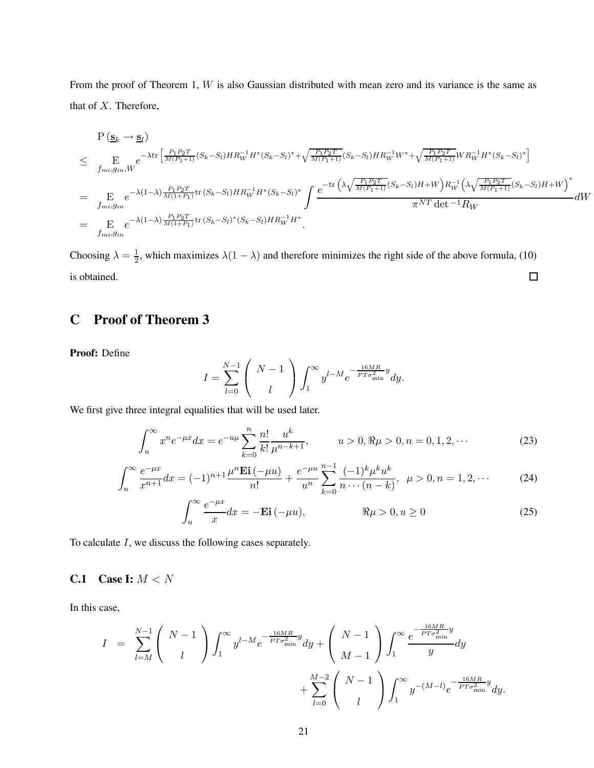From the proof of Theorem 1, W is also Gaussian distributed with mean zero and its variance is the same as that of X. Therefore,

$$
P(g_k \to g_l)
$$
\n
$$
\leq \sum_{\substack{f_{mi}, g_{in}, W}} e^{-\lambda tr \left[ \frac{P_1 P_2 T}{M(P_1 + 1)} (S_k - S_l) H R_W^{-1} H^* (S_k - S_l)^* + \sqrt{\frac{P_1 P_2 T}{M(P_1 + 1)}} (S_k - S_l) H R_W^{-1} W^* + \sqrt{\frac{P_1 P_2 T}{M(P_1 + 1)}} W R_W^{-1} H^* (S_k - S_l)^* \right]}
$$
\n
$$
= \sum_{\substack{f_{mi}, g_{in}} e^{-\lambda (1 - \lambda) \frac{P_1 P_2 T}{M(1 + P_1)}} tr (S_k - S_l) H R_W^{-1} H^* (S_k - S_l)^* } \int e^{-tr \left( \lambda \sqrt{\frac{P_1 P_2 T}{M(P_1 + 1)}} (S_k - S_l) H + W \right) R_W^{-1} \left( \lambda \sqrt{\frac{P_1 P_2 T}{M(P_1 + 1)}} (S_k - S_l) H + W \right)^*}
$$
\n
$$
= \sum_{\substack{f_{mi}, g_{in}} e^{-\lambda (1 - \lambda) \frac{P_1 P_2 T}{M(1 + P_1)}} tr (S_k - S_l)^* (S_k - S_l) H R_W^{-1} H^* } e^{-\lambda (1 - \lambda) R_W^{-1} H^*}
$$

Choosing  $\lambda = \frac{1}{2}$ , which maximizes  $\lambda(1 - \lambda)$  and therefore minimizes the right side of the above formula, (10) is obtained.  $\Box$ 

# **C Proof of Theorem 3**

**Proof:** Define

$$
I = \sum_{l=0}^{N-1} \binom{N-1}{l} \int_1^\infty y^{l-M} e^{-\frac{16MR}{PT\sigma_{\min}^2}y} dy.
$$

We first give three integral equalities that will be used later.

$$
\int_{u}^{\infty} x^{n} e^{-\mu x} dx = e^{-u\mu} \sum_{k=0}^{n} \frac{n!}{k!} \frac{u^{k}}{\mu^{n-k+1}}, \qquad u > 0, \Re \mu > 0, n = 0, 1, 2, \cdots
$$
 (23)

$$
\int_{u}^{\infty} \frac{e^{-\mu x}}{x^{n+1}} dx = (-1)^{n+1} \frac{\mu^n \mathbf{Ei}(-\mu u)}{n!} + \frac{e^{-\mu u}}{u^n} \sum_{k=0}^{n-1} \frac{(-1)^k \mu^k u^k}{n \cdots (n-k)}, \quad \mu > 0, n = 1, 2, \cdots
$$
 (24)

$$
\int_{u}^{\infty} \frac{e^{-\mu x}}{x} dx = -\mathbf{Ei}(-\mu u), \qquad \Re \mu > 0, u \ge 0
$$
\n(25)

To calculate I, we discuss the following cases separately.

# **C.1 Case I:** M < N

In this case,

$$
I = \sum_{l=M}^{N-1} {N-1 \choose l} \int_1^{\infty} y^{l-M} e^{-\frac{16MR}{PT\sigma_{\min}^2}y} dy + {N-1 \choose M-1} \int_1^{\infty} \frac{e^{-\frac{16MR}{PT\sigma_{\min}^2}y}}{y} dy + \sum_{l=0}^{M-2} {N-1 \choose l} \int_1^{\infty} y^{-(M-l)} e^{-\frac{16MR}{PT\sigma_{\min}^2}y} dy.
$$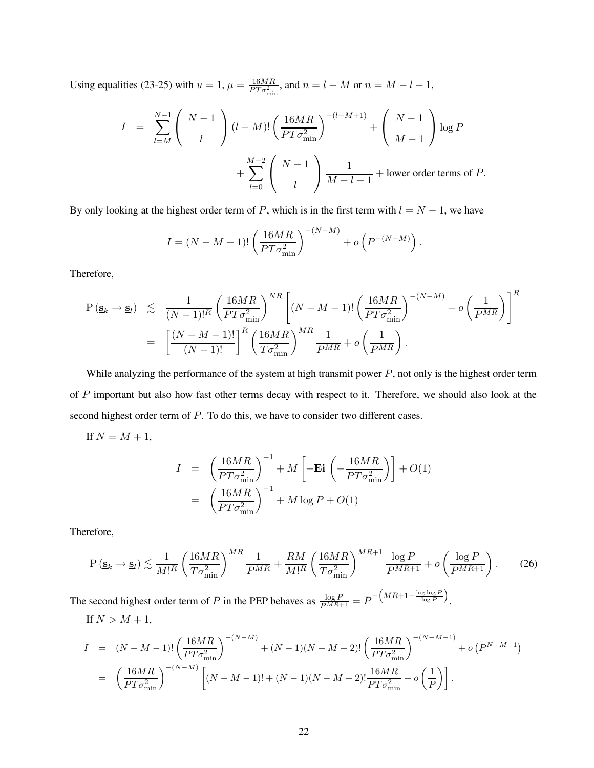Using equalities (23-25) with  $u = 1$ ,  $\mu = \frac{16MR}{PT\sigma^2}$  $\frac{16MR}{PT\sigma_{\min}^2}$ , and  $n = l - M$  or  $n = M - l - 1$ ,

$$
I = \sum_{l=M}^{N-1} {N-1 \choose l} (l-M)! \left(\frac{16MR}{PT\sigma_{\min}^2}\right)^{-(l-M+1)} + \left(\begin{array}{c} N-1 \ M-1 \end{array}\right) \log P
$$
  
+ 
$$
\sum_{l=0}^{M-2} {N-1 \choose l} \frac{1}{M-l-1} + \text{lower order terms of } P.
$$

By only looking at the highest order term of P, which is in the first term with  $l = N - 1$ , we have

$$
I = (N - M - 1)! \left( \frac{16MR}{PT \sigma_{\min}^2} \right)^{-(N-M)} + o\left( P^{-(N-M)} \right).
$$

Therefore,

$$
P(g_k \to g_l) \leq \frac{1}{(N-1)!^R} \left( \frac{16MR}{PT\sigma_{\min}^2} \right)^{NR} \left[ (N-M-1)! \left( \frac{16MR}{PT\sigma_{\min}^2} \right)^{-(N-M)} + o\left( \frac{1}{P^{MR}} \right) \right]^R
$$
  
= 
$$
\left[ \frac{(N-M-1)!}{(N-1)!} \right]^R \left( \frac{16MR}{T\sigma_{\min}^2} \right)^{MR} \frac{1}{P^{MR}} + o\left( \frac{1}{P^{MR}} \right).
$$

While analyzing the performance of the system at high transmit power  $P$ , not only is the highest order term of P important but also how fast other terms decay with respect to it. Therefore, we should also look at the second highest order term of P. To do this, we have to consider two different cases.

If  $N = M + 1$ ,

$$
I = \left(\frac{16MR}{PT\sigma_{\min}^2}\right)^{-1} + M\left[-\mathbf{Ei}\left(-\frac{16MR}{PT\sigma_{\min}^2}\right)\right] + O(1)
$$

$$
= \left(\frac{16MR}{PT\sigma_{\min}^2}\right)^{-1} + M\log P + O(1)
$$

Therefore,

$$
P\left(\underline{\mathbf{s}}_k \to \underline{\mathbf{s}}_l\right) \lesssim \frac{1}{M!^R} \left(\frac{16MR}{T\sigma_{\min}^2}\right)^{MR} \frac{1}{P^{MR}} + \frac{RM}{M!^R} \left(\frac{16MR}{T\sigma_{\min}^2}\right)^{MR+1} \frac{\log P}{P^{MR+1}} + o\left(\frac{\log P}{P^{MR+1}}\right). \tag{26}
$$

The second highest order term of P in the PEP behaves as  $\frac{\log P}{P^{MR+1}} = P^{-\left(MR+1-\frac{\log \log P}{\log P}\right)}$ . If  $N > M + 1$ ,

$$
I = (N - M - 1)! \left( \frac{16MR}{PT\sigma_{\min}^2} \right)^{-(N-M)} + (N - 1)(N - M - 2)! \left( \frac{16MR}{PT\sigma_{\min}^2} \right)^{-(N-M-1)} + o(P^{N-M-1})
$$
  
=  $\left( \frac{16MR}{PT\sigma_{\min}^2} \right)^{-(N-M)} \left[ (N - M - 1)! + (N - 1)(N - M - 2)! \frac{16MR}{PT\sigma_{\min}^2} + o\left(\frac{1}{P}\right) \right].$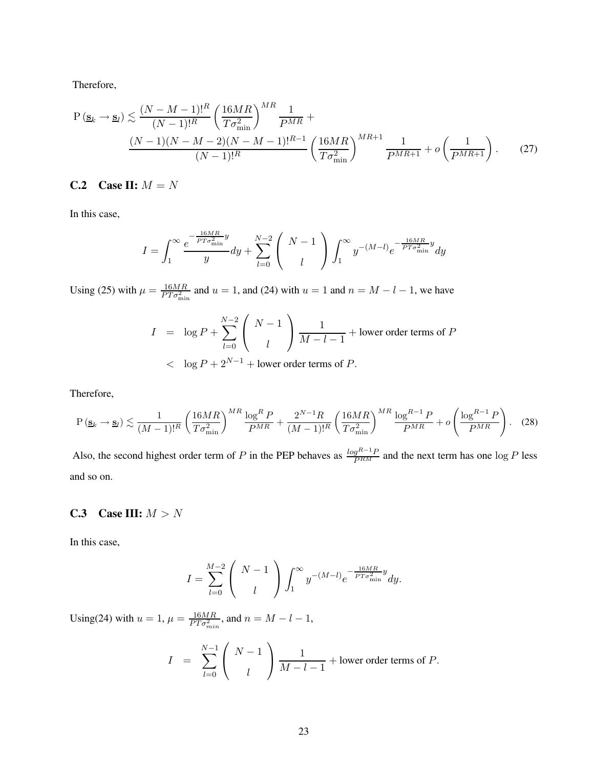Therefore,

$$
P\left(\underline{\mathbf{s}}_k \to \underline{\mathbf{s}}_l\right) \lesssim \frac{(N-M-1)!^R}{(N-1)!^R} \left(\frac{16MR}{T\sigma_{\min}^2}\right)^{MR} \frac{1}{P^{MR}} + \frac{(N-1)(N-M-2)(N-M-1)!^{R-1}}{(N-1)!^R} \left(\frac{16MR}{T\sigma_{\min}^2}\right)^{MR+1} \frac{1}{P^{MR+1}} + o\left(\frac{1}{P^{MR+1}}\right). \tag{27}
$$

## **C.2 Case II:**  $M = N$

In this case,

$$
I = \int_{1}^{\infty} \frac{e^{-\frac{16MR}{PT\sigma_{\min}^{2}}y}}{y} dy + \sum_{l=0}^{N-2} \left(\begin{array}{c} N-1\\l\end{array}\right) \int_{1}^{\infty} y^{-(M-l)} e^{-\frac{16MR}{PT\sigma_{\min}^{2}}y} dy
$$

Using (25) with  $\mu = \frac{16MR}{PT\sigma^2}$  $\frac{16MR}{PT \sigma_{\min}^2}$  and  $u = 1$ , and (24) with  $u = 1$  and  $n = M - l - 1$ , we have

$$
I = \log P + \sum_{l=0}^{N-2} {N-1 \choose l} \frac{1}{M-l-1} + \text{lower order terms of } P
$$
  
< 
$$
< \log P + 2^{N-1} + \text{lower order terms of } P.
$$

Therefore,

$$
P\left(\underline{\mathbf{s}}_k \to \underline{\mathbf{s}}_l\right) \lesssim \frac{1}{(M-1)!^R} \left(\frac{16MR}{T\sigma_{\min}^2}\right)^{MR} \frac{\log^R P}{P^{MR}} + \frac{2^{N-1}R}{(M-1)!^R} \left(\frac{16MR}{T\sigma_{\min}^2}\right)^{MR} \frac{\log^{R-1} P}{P^{MR}} + o\left(\frac{\log^{R-1} P}{P^{MR}}\right). \tag{28}
$$

Also, the second highest order term of P in the PEP behaves as  $\frac{\log^{R-1}P}{P^{RM}}$  and the next term has one  $\log P$  less and so on.

# **C.3 Case III:**  $M > N$

In this case,

$$
I = \sum_{l=0}^{M-2} {N-1 \choose l} \int_1^{\infty} y^{-(M-l)} e^{-\frac{16MR}{PT\sigma_{\min}^2}y} dy.
$$

Using(24) with  $u = 1$ ,  $\mu = \frac{16MR}{PT\sigma_{min}^2}$ , and  $n = M - l - 1$ ,  $I =$  $\sum^{N-1}$  $_{l=0}$  $\sqrt{ }$  $\mathbf{I}$  $N-1$ l  $\setminus$  $\mathbf{I}$ 1  $\frac{1}{M-l-1}$  + lower order terms of *P*.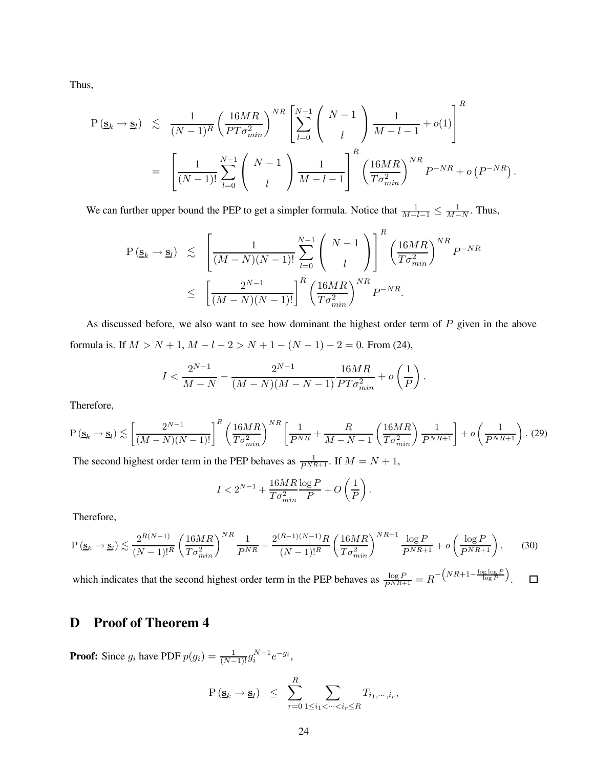Thus,

$$
P(g_k \to g_l) \leq \frac{1}{(N-1)^R} \left( \frac{16MR}{PT\sigma_{min}^2} \right)^{NR} \left[ \sum_{l=0}^{N-1} \binom{N-1}{l} \frac{1}{M-l-1} + o(1) \right]^R
$$
  
= 
$$
\left[ \frac{1}{(N-1)!} \sum_{l=0}^{N-1} \binom{N-1}{l} \frac{1}{M-l-1} \right]^R \left( \frac{16MR}{T\sigma_{min}^2} \right)^{NR} P^{-NR} + o(P^{-NR}).
$$

We can further upper bound the PEP to get a simpler formula. Notice that  $\frac{1}{M-l-1} \leq \frac{1}{M-l}$  $\frac{1}{M-N}$ . Thus,

$$
P(\underline{\mathbf{s}}_k \to \underline{\mathbf{s}}_l) \leq \left[ \frac{1}{(M-N)(N-1)!} \sum_{l=0}^{N-1} {N-1 \choose l} \right]^R \left( \frac{16MR}{T\sigma_{min}^2} \right)^{NR} P^{-NR}
$$
  

$$
\leq \left[ \frac{2^{N-1}}{(M-N)(N-1)!} \right]^R \left( \frac{16MR}{T\sigma_{min}^2} \right)^{NR} P^{-NR}.
$$

As discussed before, we also want to see how dominant the highest order term of P given in the above formula is. If  $M > N + 1$ ,  $M - l - 2 > N + 1 - (N - 1) - 2 = 0$ . From (24),

$$
I < \frac{2^{N-1}}{M-N} - \frac{2^{N-1}}{(M-N)(M-N-1)} \frac{16MR}{PT\sigma_{min}^2} + o\left(\frac{1}{P}\right).
$$

Therefore,

$$
\mathbf{P}\left(\underline{\mathbf{s}}_k \to \underline{\mathbf{s}}_l\right) \lesssim \left[\frac{2^{N-1}}{(M-N)(N-1)!}\right]^R \left(\frac{16MR}{T\sigma_{min}^2}\right)^{NR} \left[\frac{1}{P^{NR}} + \frac{R}{M-N-1} \left(\frac{16MR}{T\sigma_{min}^2}\right) \frac{1}{P^{NR+1}}\right] + o\left(\frac{1}{P^{NR+1}}\right). (29)
$$

The second highest order term in the PEP behaves as  $\frac{1}{P^{NR+1}}$ . If  $M = N + 1$ ,

$$
I < 2^{N-1} + \frac{16MR}{T\sigma_{min}^2} \frac{\log P}{P} + O\left(\frac{1}{P}\right).
$$

Therefore,

$$
P\left(\underline{\mathbf{s}}_k \to \underline{\mathbf{s}}_l\right) \lesssim \frac{2^{R(N-1)}}{(N-1)!^R} \left(\frac{16MR}{T\sigma_{min}^2}\right)^{NR} \frac{1}{P^{NR}} + \frac{2^{(R-1)(N-1)}R}{(N-1)!^R} \left(\frac{16MR}{T\sigma_{min}^2}\right)^{NR+1} \frac{\log P}{P^{NR+1}} + o\left(\frac{\log P}{P^{NR+1}}\right),\tag{30}
$$

which indicates that the second highest order term in the PEP behaves as  $\frac{\log P}{P^{NR+1}} = R^{-\left(NR+1-\frac{\log \log P}{\log P}\right)}$ .  $\Box$ 

# **D Proof of Theorem 4**

**Proof:** Since  $g_i$  have PDF  $p(g_i) = \frac{1}{(N-1)!} g_i^{N-1} e^{-g_i}$ ,

$$
P\left(\underline{\mathbf{s}}_k \to \underline{\mathbf{s}}_l\right) \leq \sum_{r=0}^R \sum_{1 \leq i_1 < \dots < i_r \leq R} T_{i_1, \dots, i_r},
$$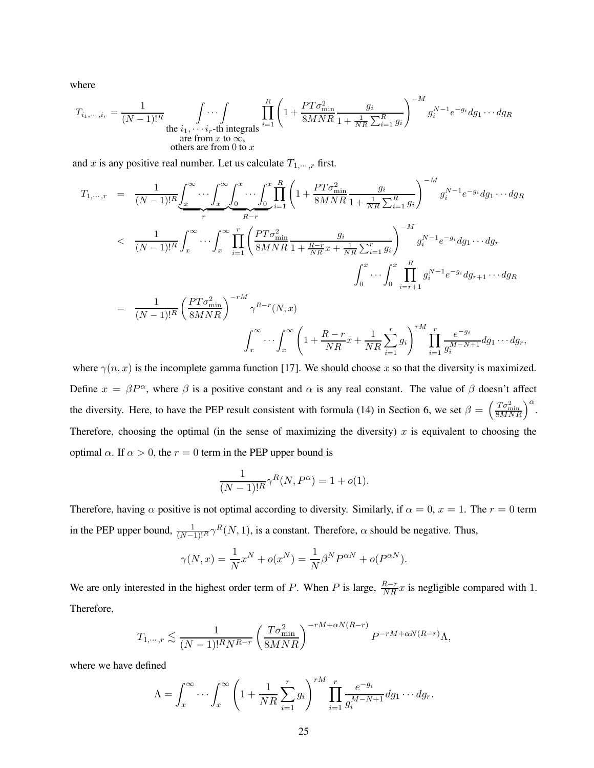where

$$
T_{i_1,\dots,i_r} = \frac{1}{(N-1)!^R} \int \dots \int \prod_{\substack{i=1 \text{at } i_1, \dots, i_r \text{-th integrals}}} \prod_{i=1}^R \left(1 + \frac{PT\sigma_{\min}^2}{8MNR} \frac{g_i}{1 + \frac{1}{NR} \sum_{i=1}^R g_i}\right)^{-M} g_i^{N-1} e^{-g_i} dg_1 \dots dg_R
$$
  
are from  $x$  to  $\infty$ ,  
others are from 0 to  $x$ 

and x is any positive real number. Let us calculate  $T_{1,\dots,r}$  first.

$$
T_{1,\dots,r} = \frac{1}{(N-1)!} \underbrace{\int_x^{\infty} \dots \int_x^{\infty} \int_0^x \dots \int_0^x \prod_{i=1}^R \left( 1 + \frac{PT\sigma_{\min}^2}{8MNR} \frac{g_i}{1 + \frac{1}{NR} \sum_{i=1}^R g_i} \right)^{-M} g_i^{N-1} e^{-g_i} dg_1 \dots dg_R}_{(N-1)!} \n
$$
< \frac{1}{(N-1)!} \int_x^{\infty} \dots \int_x^{\infty} \prod_{i=1}^r \left( \frac{PT\sigma_{\min}^2}{8MNR} \frac{g_i}{1 + \frac{R-r}{NR}x + \frac{1}{NR} \sum_{i=1}^r g_i} \right)^{-M} g_i^{N-1} e^{-g_i} dg_1 \dots dg_r
$$
\n
$$
\int_0^x \dots \int_0^x \prod_{i=r+1}^R g_i^{N-1} e^{-g_i} dg_{r+1} \dots dg_R
$$
\n
$$
= \frac{1}{(N-1)!} \left( \frac{PT\sigma_{\min}^2}{8MNR} \right)^{-rM} \gamma^{R-r}(N,x)
$$
\n
$$
\int_x^{\infty} \dots \int_x^{\infty} \left( 1 + \frac{R-r}{NR} x + \frac{1}{NR} \sum_{i=1}^r g_i \right)^{rM} \prod_{i=1}^r \frac{e^{-g_i}}{g_i^{M-N+1}} dg_1 \dots dg_r,
$$
$$

where  $\gamma(n, x)$  is the incomplete gamma function [17]. We should choose x so that the diversity is maximized. Define  $x = \beta P^{\alpha}$ , where  $\beta$  is a positive constant and  $\alpha$  is any real constant. The value of  $\beta$  doesn't affect the diversity. Here, to have the PEP result consistent with formula (14) in Section 6, we set  $\beta = \left(\frac{T\sigma_{\min}^2}{8MNR}\right)$  $\Big)^{\alpha}$ . Therefore, choosing the optimal (in the sense of maximizing the diversity)  $x$  is equivalent to choosing the optimal  $\alpha$ . If  $\alpha > 0$ , the  $r = 0$  term in the PEP upper bound is

$$
\frac{1}{(N-1)!^R} \gamma^R(N, P^{\alpha}) = 1 + o(1).
$$

Therefore, having  $\alpha$  positive is not optimal according to diversity. Similarly, if  $\alpha = 0$ ,  $x = 1$ . The  $r = 0$  term in the PEP upper bound,  $\frac{1}{(N-1)!^R} \gamma^R(N, 1)$ , is a constant. Therefore,  $\alpha$  should be negative. Thus,

$$
\gamma(N, x) = \frac{1}{N} x^N + o(x^N) = \frac{1}{N} \beta^N P^{\alpha N} + o(P^{\alpha N}).
$$

We are only interested in the highest order term of P. When P is large,  $\frac{R-r}{NR}x$  is negligible compared with 1. Therefore,

$$
T_{1,\cdots,r} \lesssim \frac{1}{(N-1)!^R N^{R-r}} \left(\frac{T\sigma_{\min}^2}{8MNR}\right)^{-rM+\alpha N(R-r)} P^{-rM+\alpha N(R-r)} \Lambda,
$$

where we have defined

$$
\Lambda = \int_x^{\infty} \cdots \int_x^{\infty} \left(1 + \frac{1}{NR} \sum_{i=1}^r g_i\right)^{rM} \prod_{i=1}^r \frac{e^{-g_i}}{g_i^{M-N+1}} dg_1 \cdots dg_r.
$$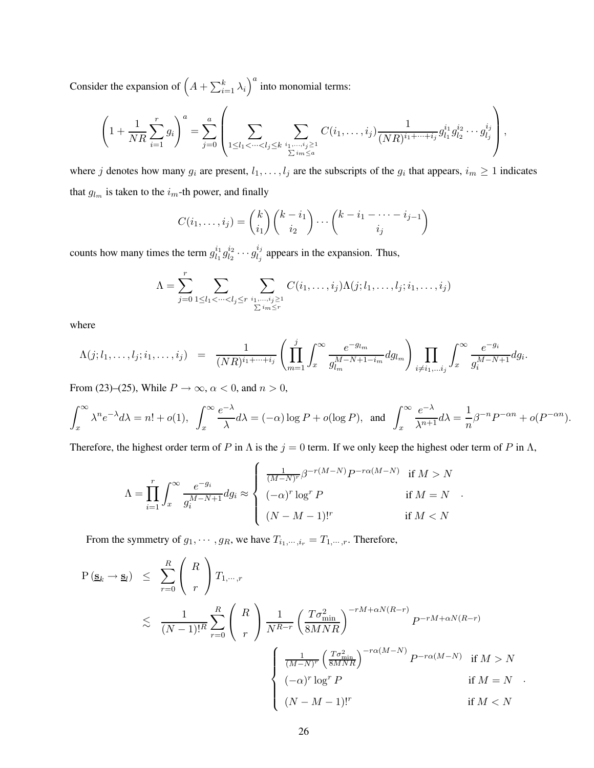Consider the expansion of  $(A + \sum_{i=1}^{k} \lambda_i)^a$  into monomial terms:

$$
\left(1+\frac{1}{NR}\sum_{i=1}^r g_i\right)^a = \sum_{j=0}^a \left(\sum_{1\leq l_1 < \cdots < l_j \leq k} \sum_{\substack{i_1,\ldots,i_j \geq 1 \\ \sum i_m \leq a}} C(i_1,\ldots,i_j) \frac{1}{(NR)^{i_1+\cdots+i_j}} g_{l_1}^{i_1} g_{l_2}^{i_2} \cdots g_{l_j}^{i_j}\right),
$$

where j denotes how many  $g_i$  are present,  $l_1, \ldots, l_j$  are the subscripts of the  $g_i$  that appears,  $i_m \ge 1$  indicates that  $g_{l_m}$  is taken to the  $i_m$ -th power, and finally

$$
C(i_1,\ldots,i_j) = {k \choose i_1} {k-i_1 \choose i_2} \cdots {k-i_1 - \cdots - i_{j-1} \choose i_j}
$$

counts how many times the term  $g_{l_1}^{i_1}$  $\frac{i_1}{l_1}g^{i_2}_{l_2}$  $\frac{i_2}{l_2}\cdots g_{l_j}^{i_j}$  $\frac{i_j}{l_j}$  appears in the expansion. Thus,

$$
\Lambda = \sum_{j=0}^{r} \sum_{1 \leq l_1 < \dots < l_j \leq r} \sum_{\substack{i_1, \dots, i_j \geq 1 \\ \sum i_m \leq r}} C(i_1, \dots, i_j) \Lambda(j; l_1, \dots, l_j; i_1, \dots, i_j)
$$

where

$$
\Lambda(j;l_1,\ldots,l_j;i_1,\ldots,i_j) = \frac{1}{(NR)^{i_1+\cdots+i_j}} \left(\prod_{m=1}^j \int_x^{\infty} \frac{e^{-g_{l_m}}}{g_{l_m}^{M-N+1-i_m}} dg_{l_m}\right) \prod_{i \neq i_1,\ldots,i_j} \int_x^{\infty} \frac{e^{-g_i}}{g_i^{M-N+1}} dg_i.
$$

From (23)–(25), While  $P \to \infty$ ,  $\alpha < 0$ , and  $n > 0$ ,

$$
\int_x^{\infty} \lambda^n e^{-\lambda} d\lambda = n! + o(1), \quad \int_x^{\infty} \frac{e^{-\lambda}}{\lambda} d\lambda = (-\alpha) \log P + o(\log P), \quad \text{and} \quad \int_x^{\infty} \frac{e^{-\lambda}}{\lambda^{n+1}} d\lambda = \frac{1}{n} \beta^{-n} P^{-\alpha n} + o(P^{-\alpha n}).
$$

Therefore, the highest order term of P in  $\Lambda$  is the  $j = 0$  term. If we only keep the highest oder term of P in  $\Lambda$ ,

$$
\Lambda = \prod_{i=1}^{r} \int_{x}^{\infty} \frac{e^{-g_i}}{g_i^{M-N+1}} dg_i \approx \begin{cases} \frac{1}{(M-N)^r} \beta^{-r(M-N)} P^{-r\alpha(M-N)} & \text{if } M > N \\ (-\alpha)^r \log^r P & \text{if } M = N \\ (N-M-1)!^r & \text{if } M < N \end{cases}
$$

From the symmetry of  $g_1, \dots, g_R$ , we have  $T_{i_1, \dots, i_r} = T_{1, \dots, r}$ . Therefore,

$$
P(g_k \to g_l) \leq \sum_{r=0}^{R} {R \choose r} T_{1,\dots,r}
$$
  
\n
$$
\leq \frac{1}{(N-1)!^R} \sum_{r=0}^{R} {R \choose r} \frac{1}{N^{R-r}} \left(\frac{T\sigma_{\min}^2}{8MNR}\right)^{-rM+\alpha N(R-r)} P^{-rM+\alpha N(R-r)}
$$
  
\n
$$
\begin{cases}\n\frac{1}{(M-N)^r} \left(\frac{T\sigma_{\min}^2}{8MNR}\right)^{-r\alpha(M-N)} P^{-r\alpha(M-N)} & \text{if } M > N \\
(-\alpha)^r \log^r P & \text{if } M = N \\
(N-M-1)!^r & \text{if } M < N\n\end{cases}
$$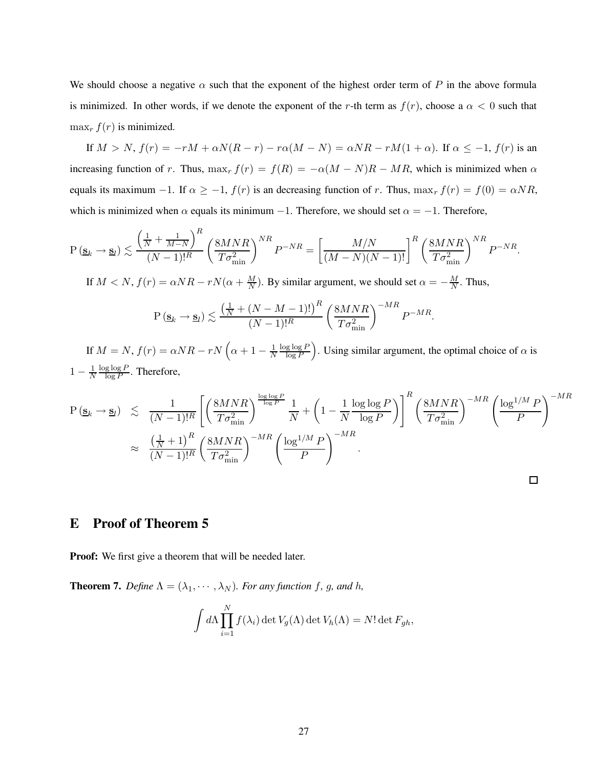We should choose a negative  $\alpha$  such that the exponent of the highest order term of P in the above formula is minimized. In other words, if we denote the exponent of the r-th term as  $f(r)$ , choose a  $\alpha < 0$  such that  $\max_r f(r)$  is minimized.

If  $M > N$ ,  $f(r) = -rM + \alpha N(R - r) - r\alpha (M - N) = \alpha NR - rM(1 + \alpha)$ . If  $\alpha \le -1$ ,  $f(r)$  is an increasing function of r. Thus,  $\max_r f(r) = f(R) = -\alpha(M - N)R - MR$ , which is minimized when  $\alpha$ equals its maximum -1. If  $\alpha \ge -1$ ,  $f(r)$  is an decreasing function of r. Thus,  $\max_r f(r) = f(0) = \alpha NR$ , which is minimized when  $\alpha$  equals its minimum −1. Therefore, we should set  $\alpha = -1$ . Therefore,

$$
P\left(\underline{\mathbf{s}}_k \to \underline{\mathbf{s}}_l\right) \lesssim \frac{\left(\frac{1}{N} + \frac{1}{M-N}\right)^R}{(N-1)!^R} \left(\frac{8MNR}{T\sigma_{\min}^2}\right)^{NR} P^{-NR} = \left[\frac{M/N}{(M-N)(N-1)!}\right]^R \left(\frac{8MNR}{T\sigma_{\min}^2}\right)^{NR} P^{-NR}.
$$

If  $M < N$ ,  $f(r) = \alpha NR - rN(\alpha + \frac{M}{N})$  $\frac{M}{N}$ ). By similar argument, we should set  $\alpha = -\frac{M}{N}$  $\frac{M}{N}$ . Thus,

$$
P\left(\underline{\mathbf{s}}_k \to \underline{\mathbf{s}}_l\right) \lesssim \frac{\left(\frac{1}{N} + (N - M - 1)!\right)^R}{(N - 1)!^R} \left(\frac{8MNR}{T\sigma_{\min}^2}\right)^{-MR} P^{-MR}.
$$

If  $M = N$ ,  $f(r) = \alpha NR - rN\left(\alpha + 1 - \frac{1}{N}\right)$ N  $\log \log P$  $\log{F}$ ). Using similar argument, the optimal choice of  $\alpha$  is  $1-\frac{1}{\lambda}$ N  $log log F$  $\frac{\log P}{\log P}$ . Therefore,

$$
P(g_k \to g_l) \leq \frac{1}{(N-1)!^R} \left[ \left( \frac{8MNR}{T\sigma_{\min}^2} \right)^{\frac{\log \log P}{\log P}} \frac{1}{N} + \left( 1 - \frac{1}{N} \frac{\log \log P}{\log P} \right) \right]^R \left( \frac{8MNR}{T\sigma_{\min}^2} \right)^{-MR} \left( \frac{\log^{1/M} P}{P} \right)^{-MR}
$$
  

$$
\approx \frac{\left( \frac{1}{N} + 1 \right)^R}{(N-1)!^R} \left( \frac{8MNR}{T\sigma_{\min}^2} \right)^{-MR} \left( \frac{\log^{1/M} P}{P} \right)^{-MR}.
$$

## **E Proof of Theorem 5**

**Proof:** We first give a theorem that will be needed later.

**Theorem 7.** *Define*  $\Lambda = (\lambda_1, \dots, \lambda_N)$ *. For any function f, g, and h,* 

$$
\int d\Lambda \prod_{i=1}^{N} f(\lambda_i) \det V_g(\Lambda) \det V_h(\Lambda) = N! \det F_{gh},
$$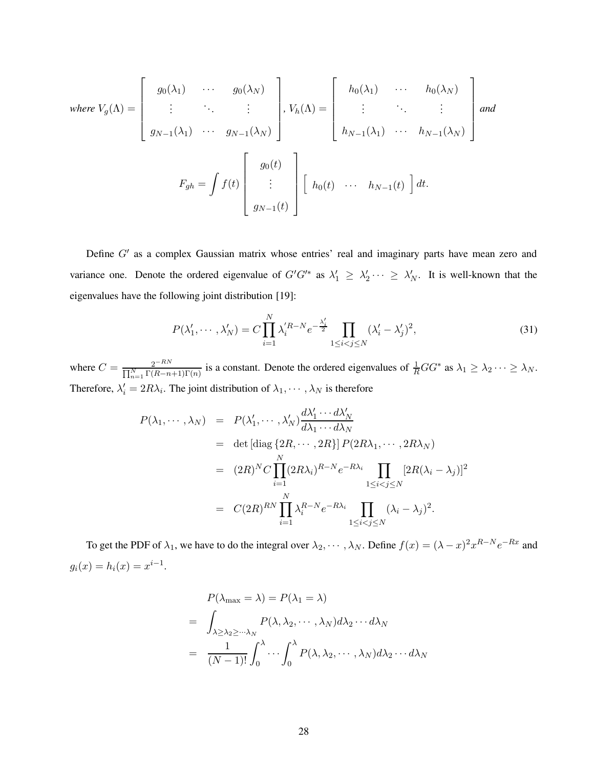where 
$$
V_g(\Lambda) = \begin{bmatrix} g_0(\lambda_1) & \cdots & g_0(\lambda_N) \\ \vdots & \ddots & \vdots \\ g_{N-1}(\lambda_1) & \cdots & g_{N-1}(\lambda_N) \end{bmatrix}
$$
,  $V_h(\Lambda) = \begin{bmatrix} h_0(\lambda_1) & \cdots & h_0(\lambda_N) \\ \vdots & \ddots & \vdots \\ h_{N-1}(\lambda_1) & \cdots & h_{N-1}(\lambda_N) \end{bmatrix}$  and  

$$
F_{gh} = \int f(t) \begin{bmatrix} g_0(t) \\ \vdots \\ g_{N-1}(t) \end{bmatrix} \begin{bmatrix} h_0(t) & \cdots & h_{N-1}(t) \end{bmatrix} dt.
$$

Define  $G'$  as a complex Gaussian matrix whose entries' real and imaginary parts have mean zero and variance one. Denote the ordered eigenvalue of  $G'G'^*$  as  $\lambda'_1 \geq \lambda'_2 \cdots \geq \lambda'_N$ . It is well-known that the eigenvalues have the following joint distribution [19]:

$$
P(\lambda'_1, \cdots, \lambda'_N) = C \prod_{i=1}^N \lambda'_i^{R-N} e^{-\frac{\lambda'_i}{2}} \prod_{1 \le i < j \le N} (\lambda'_i - \lambda'_j)^2,\tag{31}
$$

where  $C = \frac{2^{-RN}}{\prod_{i=1}^{N} R_i}$  $\frac{2^{-RN}}{\prod_{n=1}^{N} \Gamma(R-n+1)\Gamma(n)}$  is a constant. Denote the ordered eigenvalues of  $\frac{1}{R}GG^*$  as  $\lambda_1 \geq \lambda_2 \cdots \geq \lambda_N$ . Therefore,  $\lambda'_i = 2R\lambda_i$ . The joint distribution of  $\lambda_1, \dots, \lambda_N$  is therefore

$$
P(\lambda_1, \dots, \lambda_N) = P(\lambda'_1, \dots, \lambda'_N) \frac{d\lambda'_1 \cdots d\lambda'_N}{d\lambda_1 \cdots d\lambda_N}
$$
  
\n
$$
= \det \left[\text{diag}\left\{2R, \dots, 2R\right\}\right] P(2R\lambda_1, \dots, 2R\lambda_N)
$$
  
\n
$$
= (2R)^N C \prod_{i=1}^N (2R\lambda_i)^{R-N} e^{-R\lambda_i} \prod_{1 \le i < j \le N} \left[2R(\lambda_i - \lambda_j)\right]^2
$$
  
\n
$$
= C(2R)^{RN} \prod_{i=1}^N \lambda_i^{R-N} e^{-R\lambda_i} \prod_{1 \le i < j \le N} (\lambda_i - \lambda_j)^2.
$$

To get the PDF of  $\lambda_1$ , we have to do the integral over  $\lambda_2, \cdots, \lambda_N$ . Define  $f(x) = (\lambda - x)^2 x^{R-N} e^{-Rx}$  and  $g_i(x) = h_i(x) = x^{i-1}.$ 

$$
P(\lambda_{\max} = \lambda) = P(\lambda_1 = \lambda)
$$
  
= 
$$
\int_{\lambda \ge \lambda_2 \ge \cdots \lambda_N} P(\lambda, \lambda_2, \cdots, \lambda_N) d\lambda_2 \cdots d\lambda_N
$$
  
= 
$$
\frac{1}{(N-1)!} \int_0^{\lambda} \cdots \int_0^{\lambda} P(\lambda, \lambda_2, \cdots, \lambda_N) d\lambda_2 \cdots d\lambda_N
$$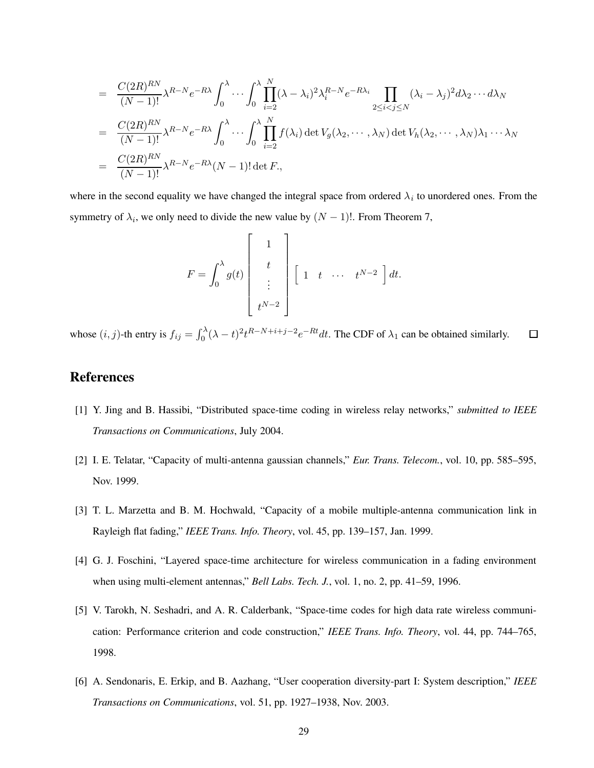$$
= \frac{C(2R)^{RN}}{(N-1)!} \lambda^{R-N} e^{-R\lambda} \int_0^{\lambda} \cdots \int_0^{\lambda} \prod_{i=2}^N (\lambda - \lambda_i)^2 \lambda_i^{R-N} e^{-R\lambda_i} \prod_{2 \le i < j \le N} (\lambda_i - \lambda_j)^2 d\lambda_2 \cdots d\lambda_N
$$
  
\n
$$
= \frac{C(2R)^{RN}}{(N-1)!} \lambda^{R-N} e^{-R\lambda} \int_0^{\lambda} \cdots \int_0^{\lambda} \prod_{i=2}^N f(\lambda_i) \det V_g(\lambda_2, \cdots, \lambda_N) \det V_h(\lambda_2, \cdots, \lambda_N) \lambda_1 \cdots \lambda_N
$$
  
\n
$$
= \frac{C(2R)^{RN}}{(N-1)!} \lambda^{R-N} e^{-R\lambda} (N-1)! \det F,
$$

where in the second equality we have changed the integral space from ordered  $\lambda_i$  to unordered ones. From the symmetry of  $\lambda_i$ , we only need to divide the new value by  $(N-1)!$ . From Theorem 7,

$$
F = \int_0^{\lambda} g(t) \begin{bmatrix} 1 \\ t \\ \vdots \\ t^{N-2} \end{bmatrix} \begin{bmatrix} 1 & t & \cdots & t^{N-2} \end{bmatrix} dt.
$$

whose  $(i, j)$ -th entry is  $f_{ij} = \int_0^{\lambda} (\lambda - t)^2 t^{R-N+i+j-2} e^{-Rt} dt$ . The CDF of  $\lambda_1$  can be obtained similarly.  $\Box$ 

## **References**

- [1] Y. Jing and B. Hassibi, "Distributed space-time coding in wireless relay networks," *submitted to IEEE Transactions on Communications*, July 2004.
- [2] I. E. Telatar, "Capacity of multi-antenna gaussian channels," *Eur. Trans. Telecom.*, vol. 10, pp. 585–595, Nov. 1999.
- [3] T. L. Marzetta and B. M. Hochwald, "Capacity of a mobile multiple-antenna communication link in Rayleigh flat fading," *IEEE Trans. Info. Theory*, vol. 45, pp. 139–157, Jan. 1999.
- [4] G. J. Foschini, "Layered space-time architecture for wireless communication in a fading environment when using multi-element antennas," *Bell Labs. Tech. J.*, vol. 1, no. 2, pp. 41–59, 1996.
- [5] V. Tarokh, N. Seshadri, and A. R. Calderbank, "Space-time codes for high data rate wireless communication: Performance criterion and code construction," *IEEE Trans. Info. Theory*, vol. 44, pp. 744–765, 1998.
- [6] A. Sendonaris, E. Erkip, and B. Aazhang, "User cooperation diversity-part I: System description," *IEEE Transactions on Communications*, vol. 51, pp. 1927–1938, Nov. 2003.